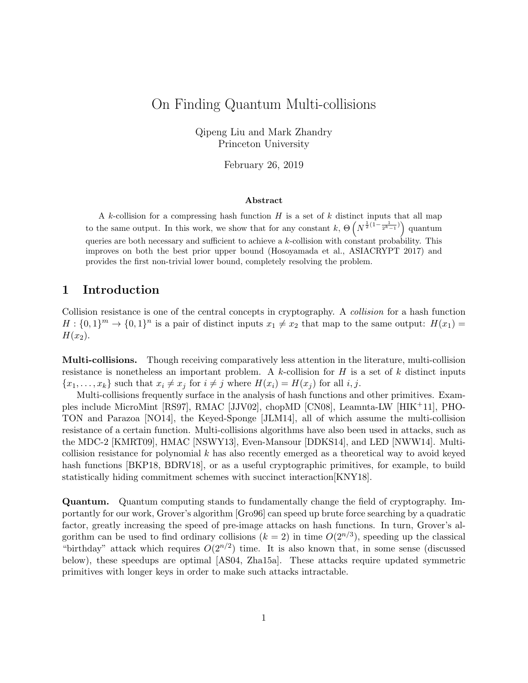# On Finding Quantum Multi-collisions

Qipeng Liu and Mark Zhandry Princeton University

February 26, 2019

### Abstract

A k-collision for a compressing hash function  $H$  is a set of  $k$  distinct inputs that all map to the same output. In this work, we show that for any constant  $k$ ,  $\Theta\left(N^{\frac{1}{2}(1-\frac{1}{2^{k-1}})}\right)$  quantum queries are both necessary and sufficient to achieve a  $k$ -collision with constant probability. This improves on both the best prior upper bound (Hosoyamada et al., ASIACRYPT 2017) and provides the first non-trivial lower bound, completely resolving the problem.

# 1 Introduction

Collision resistance is one of the central concepts in cryptography. A collision for a hash function  $H: \{0,1\}^m \to \{0,1\}^n$  is a pair of distinct inputs  $x_1 \neq x_2$  that map to the same output:  $H(x_1) =$  $H(x_2)$ .

Multi-collisions. Though receiving comparatively less attention in the literature, multi-collision resistance is nonetheless an important problem. A  $k$ -collision for  $H$  is a set of  $k$  distinct inputs  ${x_1, \ldots, x_k}$  such that  $x_i \neq x_j$  for  $i \neq j$  where  $H(x_i) = H(x_j)$  for all i, j.

Multi-collisions frequently surface in the analysis of hash functions and other primitives. Examples include MicroMint [RS97], RMAC [JJV02], chopMD [CN08], Leamnta-LW [HIK+11], PHO-TON and Parazoa [NO14], the Keyed-Sponge [JLM14], all of which assume the multi-collision resistance of a certain function. Multi-collisions algorithms have also been used in attacks, such as the MDC-2 [KMRT09], HMAC [NSWY13], Even-Mansour [DDKS14], and LED [NWW14]. Multicollision resistance for polynomial  $k$  has also recently emerged as a theoretical way to avoid keyed hash functions [BKP18, BDRV18], or as a useful cryptographic primitives, for example, to build statistically hiding commitment schemes with succinct interaction[KNY18].

Quantum. Quantum computing stands to fundamentally change the field of cryptography. Importantly for our work, Grover's algorithm [Gro96] can speed up brute force searching by a quadratic factor, greatly increasing the speed of pre-image attacks on hash functions. In turn, Grover's algorithm can be used to find ordinary collisions  $(k = 2)$  in time  $O(2^{n/3})$ , speeding up the classical "birthday" attack which requires  $O(2^{n/2})$  time. It is also known that, in some sense (discussed below), these speedups are optimal [AS04, Zha15a]. These attacks require updated symmetric primitives with longer keys in order to make such attacks intractable.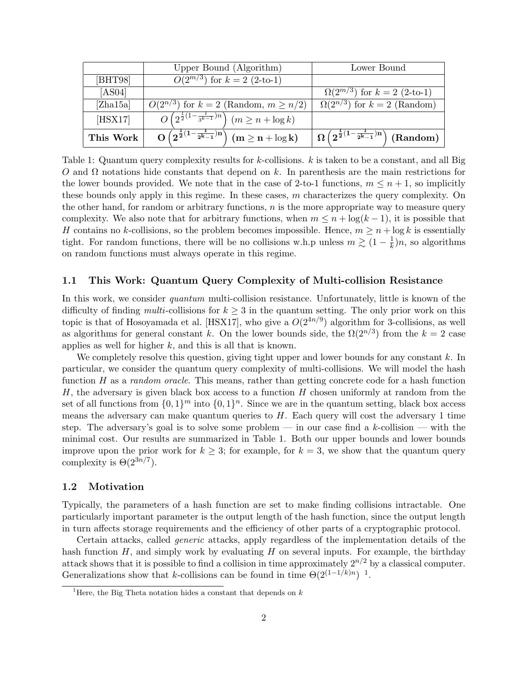|           | Upper Bound (Algorithm)                                                           | Lower Bound                                                                                   |
|-----------|-----------------------------------------------------------------------------------|-----------------------------------------------------------------------------------------------|
| [BHT98]   | $O(2^{m/3})$ for $k = 2$ (2-to-1)                                                 |                                                                                               |
| [AS04]    |                                                                                   | $\Omega(2^{m/3})$ for $k = 2$ (2-to-1)                                                        |
| [Zha15a]  | $O(2^{n/3})$ for $k = 2$ (Random, $m \ge n/2$ )                                   | $\Omega(2^{n/3})$ for $k = 2$ (Random)                                                        |
| [HSX17]   | $\overline{O(2^{\frac{1}{2}(1-\frac{1}{3k-1})n})}$ $(m \geq n + \log k)$          |                                                                                               |
| This Work | $\boxed{O\left(2^{\frac{1}{2}(1-\frac{1}{2^k-1})n}\right)}$ $(m \geq n + \log k)$ | $\left( \Omega \left( 2^{\frac{1}{2}(1-\frac{1}{2^k-1})n} \right) \, \text{(Random)} \right)$ |

Table 1: Quantum query complexity results for k-collisions. k is taken to be a constant, and all Big  $O$  and  $Ω$  notations hide constants that depend on k. In parenthesis are the main restrictions for the lower bounds provided. We note that in the case of 2-to-1 functions,  $m \leq n+1$ , so implicitly these bounds only apply in this regime. In these cases,  $m$  characterizes the query complexity. On the other hand, for random or arbitrary functions,  $n$  is the more appropriate way to measure query complexity. We also note that for arbitrary functions, when  $m \leq n + \log(k-1)$ , it is possible that H contains no k-collisions, so the problem becomes impossible. Hence,  $m \geq n + \log k$  is essentially tight. For random functions, there will be no collisions w.h.p unless  $m \gtrsim (1 - \frac{1}{k})$  $\frac{1}{k}$ )n, so algorithms on random functions must always operate in this regime.

### 1.1 This Work: Quantum Query Complexity of Multi-collision Resistance

In this work, we consider *quantum* multi-collision resistance. Unfortunately, little is known of the difficulty of finding *multi*-collisions for  $k \geq 3$  in the quantum setting. The only prior work on this topic is that of Hosoyamada et al. [HSX17], who give a  $O(2^{4n/9})$  algorithm for 3-collisions, as well as algorithms for general constant k. On the lower bounds side, the  $\Omega(2^{n/3})$  from the  $k=2$  case applies as well for higher  $k$ , and this is all that is known.

We completely resolve this question, giving tight upper and lower bounds for any constant k. In particular, we consider the quantum query complexity of multi-collisions. We will model the hash function  $H$  as a *random oracle*. This means, rather than getting concrete code for a hash function  $H$ , the adversary is given black box access to a function  $H$  chosen uniformly at random from the set of all functions from  $\{0,1\}^m$  into  $\{0,1\}^n$ . Since we are in the quantum setting, black box access means the adversary can make quantum queries to  $H$ . Each query will cost the adversary 1 time step. The adversary's goal is to solve some problem — in our case find a k-collision — with the minimal cost. Our results are summarized in Table 1. Both our upper bounds and lower bounds improve upon the prior work for  $k \geq 3$ ; for example, for  $k = 3$ , we show that the quantum query complexity is  $\Theta(2^{3n/7})$ .

### 1.2 Motivation

Typically, the parameters of a hash function are set to make finding collisions intractable. One particularly important parameter is the output length of the hash function, since the output length in turn affects storage requirements and the efficiency of other parts of a cryptographic protocol.

Certain attacks, called generic attacks, apply regardless of the implementation details of the hash function  $H$ , and simply work by evaluating  $H$  on several inputs. For example, the birthday attack shows that it is possible to find a collision in time approximately  $2^{n/2}$  by a classical computer. Generalizations show that k-collisions can be found in time  $\Theta(2^{(1-1/k)n})^{-1}$ .

<sup>&</sup>lt;sup>1</sup>Here, the Big Theta notation hides a constant that depends on  $k$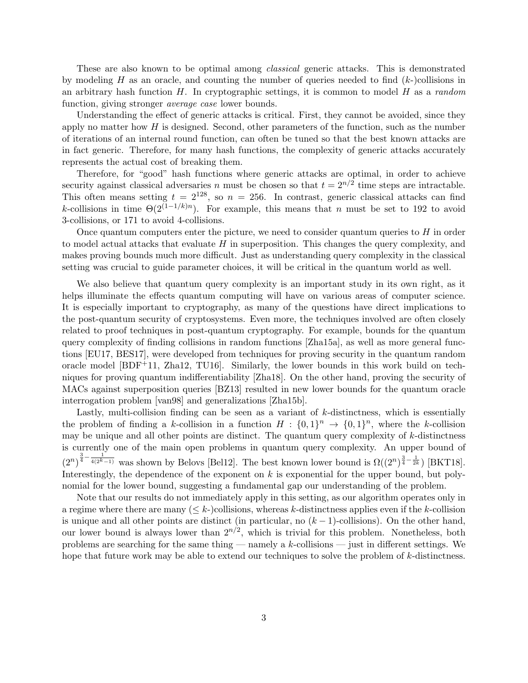These are also known to be optimal among classical generic attacks. This is demonstrated by modeling H as an oracle, and counting the number of queries needed to find  $(k-)$ collisions in an arbitrary hash function  $H$ . In cryptographic settings, it is common to model  $H$  as a random function, giving stronger *average case* lower bounds.

Understanding the effect of generic attacks is critical. First, they cannot be avoided, since they apply no matter how  $H$  is designed. Second, other parameters of the function, such as the number of iterations of an internal round function, can often be tuned so that the best known attacks are in fact generic. Therefore, for many hash functions, the complexity of generic attacks accurately represents the actual cost of breaking them.

Therefore, for "good" hash functions where generic attacks are optimal, in order to achieve security against classical adversaries n must be chosen so that  $t = 2^{n/2}$  time steps are intractable. This often means setting  $t = 2^{128}$ , so  $n = 256$ . In contrast, generic classical attacks can find k-collisions in time  $\Theta(2^{(1-1/k)n})$ . For example, this means that n must be set to 192 to avoid 3-collisions, or 171 to avoid 4-collisions.

Once quantum computers enter the picture, we need to consider quantum queries to  $H$  in order to model actual attacks that evaluate  $H$  in superposition. This changes the query complexity, and makes proving bounds much more difficult. Just as understanding query complexity in the classical setting was crucial to guide parameter choices, it will be critical in the quantum world as well.

We also believe that quantum query complexity is an important study in its own right, as it helps illuminate the effects quantum computing will have on various areas of computer science. It is especially important to cryptography, as many of the questions have direct implications to the post-quantum security of cryptosystems. Even more, the techniques involved are often closely related to proof techniques in post-quantum cryptography. For example, bounds for the quantum query complexity of finding collisions in random functions [Zha15a], as well as more general functions [EU17, BES17], were developed from techniques for proving security in the quantum random oracle model [BDF+11, Zha12, TU16]. Similarly, the lower bounds in this work build on techniques for proving quantum indifferentiability [Zha18]. On the other hand, proving the security of MACs against superposition queries [BZ13] resulted in new lower bounds for the quantum oracle interrogation problem [van98] and generalizations [Zha15b].

Lastly, multi-collision finding can be seen as a variant of k-distinctness, which is essentially the problem of finding a k-collision in a function  $H: \{0,1\}^n \to \{0,1\}^n$ , where the k-collision may be unique and all other points are distinct. The quantum query complexity of  $k$ -distinctness is currently one of the main open problems in quantum query complexity. An upper bound of  $(2^n)^{\frac{3}{4}-\frac{1}{4(2^k-1)}}$  was shown by Belovs [Bel12]. The best known lower bound is  $\Omega((2^n)^{\frac{3}{4}-\frac{1}{2k}})$  [BKT18]. Interestingly, the dependence of the exponent on  $k$  is exponential for the upper bound, but polynomial for the lower bound, suggesting a fundamental gap our understanding of the problem.

Note that our results do not immediately apply in this setting, as our algorithm operates only in a regime where there are many  $(< k$ -)collisions, whereas k-distinctness applies even if the k-collision is unique and all other points are distinct (in particular, no  $(k-1)$ -collisions). On the other hand, our lower bound is always lower than  $2^{n/2}$ , which is trivial for this problem. Nonetheless, both problems are searching for the same thing — namely a  $k$ -collisions — just in different settings. We hope that future work may be able to extend our techniques to solve the problem of k-distinctness.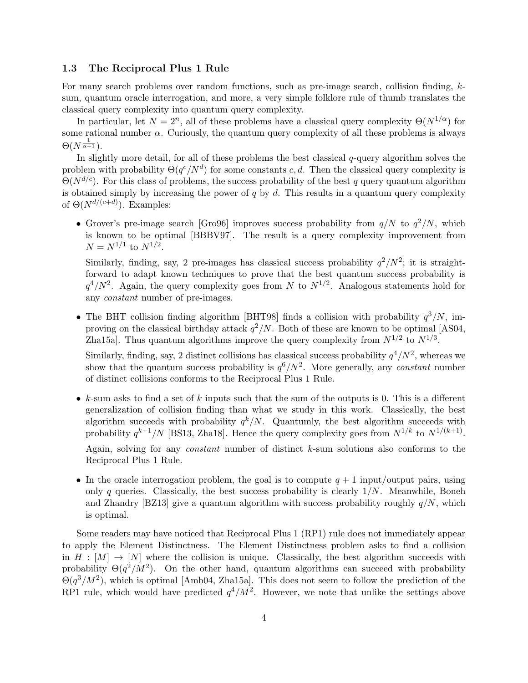### 1.3 The Reciprocal Plus 1 Rule

For many search problems over random functions, such as pre-image search, collision finding, ksum, quantum oracle interrogation, and more, a very simple folklore rule of thumb translates the classical query complexity into quantum query complexity.

In particular, let  $N = 2^n$ , all of these problems have a classical query complexity  $\Theta(N^{1/\alpha})$  for some rational number  $\alpha$ . Curiously, the quantum query complexity of all these problems is always  $\Theta(N^{\frac{1}{\alpha+1}}).$ 

In slightly more detail, for all of these problems the best classical  $q$ -query algorithm solves the problem with probability  $\Theta(q^c/N^d)$  for some constants c, d. Then the classical query complexity is  $\Theta(N^{d/c})$ . For this class of problems, the success probability of the best q query quantum algorithm is obtained simply by increasing the power of  $q$  by  $d$ . This results in a quantum query complexity of  $\Theta(N^{d/(c+d)})$ . Examples:

• Grover's pre-image search [Gro96] improves success probability from  $q/N$  to  $q^2/N$ , which is known to be optimal [BBBV97]. The result is a query complexity improvement from  $N = N^{1/1}$  to  $N^{1/2}$ .

Similarly, finding, say, 2 pre-images has classical success probability  $q^2/N^2$ ; it is straightforward to adapt known techniques to prove that the best quantum success probability is  $q^4/N^2$ . Again, the query complexity goes from N to  $N^{1/2}$ . Analogous statements hold for any constant number of pre-images.

• The BHT collision finding algorithm [BHT98] finds a collision with probability  $q^3/N$ , improving on the classical birthday attack  $q^2/N$ . Both of these are known to be optimal [AS04, Zha15a. Thus quantum algorithms improve the query complexity from  $N^{1/2}$  to  $N^{1/3}$ .

Similarly, finding, say, 2 distinct collisions has classical success probability  $q^4/N^2$ , whereas we show that the quantum success probability is  $q^{6}/N^2$ . More generally, any *constant* number of distinct collisions conforms to the Reciprocal Plus 1 Rule.

- k-sum asks to find a set of k inputs such that the sum of the outputs is 0. This is a different generalization of collision finding than what we study in this work. Classically, the best algorithm succeeds with probability  $q^k/N$ . Quantumly, the best algorithm succeeds with probability  $q^{k+1}/N$  [BS13, Zha18]. Hence the query complexity goes from  $N^{1/k}$  to  $N^{1/(k+1)}$ . Again, solving for any *constant* number of distinct  $k$ -sum solutions also conforms to the Reciprocal Plus 1 Rule.
- In the oracle interrogation problem, the goal is to compute  $q + 1$  input/output pairs, using only q queries. Classically, the best success probability is clearly  $1/N$ . Meanwhile, Boneh and Zhandry [BZ13] give a quantum algorithm with success probability roughly  $q/N$ , which is optimal.

Some readers may have noticed that Reciprocal Plus 1 (RP1) rule does not immediately appear to apply the Element Distinctness. The Element Distinctness problem asks to find a collision in  $H : [M] \to [N]$  where the collision is unique. Classically, the best algorithm succeeds with probability  $\Theta(q^2/M^2)$ . On the other hand, quantum algorithms can succeed with probability  $\Theta(q^3/M^2)$ , which is optimal [Amb04, Zha15a]. This does not seem to follow the prediction of the RP1 rule, which would have predicted  $q^4/M^2$ . However, we note that unlike the settings above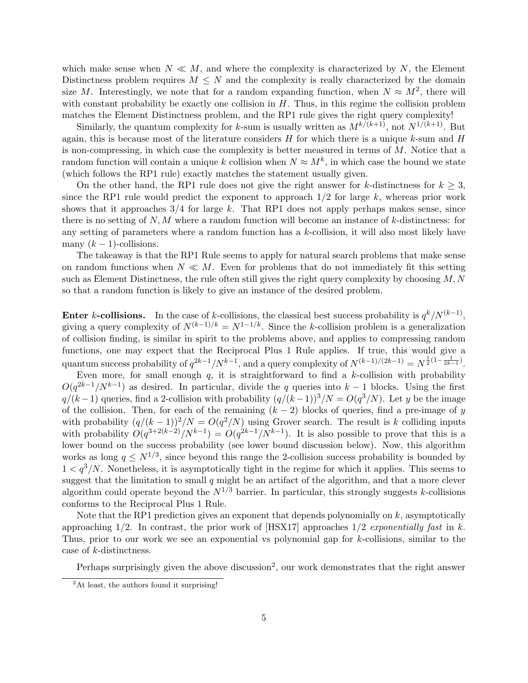which make sense when  $N \ll M$ , and where the complexity is characterized by N, the Element Distinctness problem requires  $M \leq N$  and the complexity is really characterized by the domain size M. Interestingly, we note that for a random expanding function, when  $N \approx M^2$ , there will with constant probability be exactly one collision in  $H$ . Thus, in this regime the collision problem matches the Element Distinctness problem, and the RP1 rule gives the right query complexity!

Similarly, the quantum complexity for k-sum is usually written as  $M^{k/(k+1)}$ , not  $N^{1/(k+1)}$ . But again, this is because most of the literature considers  $H$  for which there is a unique  $k$ -sum and  $H$ is non-compressing, in which case the complexity is better measured in terms of  $M$ . Notice that a random function will contain a unique k collision when  $N \approx M^k$ , in which case the bound we state (which follows the RP1 rule) exactly matches the statement usually given.

On the other hand, the RP1 rule does not give the right answer for k-distinctness for  $k \geq 3$ , since the RP1 rule would predict the exponent to approach  $1/2$  for large k, whereas prior work shows that it approaches  $3/4$  for large k. That RP1 does not apply perhaps makes sense, since there is no setting of  $N, M$  where a random function will become an instance of k-distinctness: for any setting of parameters where a random function has a  $k$ -collision, it will also most likely have many  $(k-1)$ -collisions.

The takeaway is that the RP1 Rule seems to apply for natural search problems that make sense on random functions when  $N \ll M$ . Even for problems that do not immediately fit this setting such as Element Distinctness, the rule often still gives the right query complexity by choosing  $M, N$ so that a random function is likely to give an instance of the desired problem.

Enter k-collisions. In the case of k-collisions, the classical best success probability is  $q^k/N^{(k-1)}$ , giving a query complexity of  $N^{(k-1)/k} = N^{1-1/k}$ . Since the k-collision problem is a generalization of collision finding, is similar in spirit to the problems above, and applies to compressing random functions, one may expect that the Reciprocal Plus 1 Rule applies. If true, this would give a quantum success probability of  $q^{2k-1}/N^{k-1}$ , and a query complexity of  $N^{(k-1)/(2k-1)} = N^{\frac{1}{2}(1-\frac{1}{2k-1})}$ .

Even more, for small enough  $q$ , it is straightforward to find a k-collision with probability  $O(q^{2k-1}/N^{k-1})$  as desired. In particular, divide the q queries into  $k-1$  blocks. Using the first  $q/(k-1)$  queries, find a 2-collision with probability  $(q/(k-1))^3/N = O(q^3/N)$ . Let y be the image of the collision. Then, for each of the remaining  $(k-2)$  blocks of queries, find a pre-image of y with probability  $(q/(k-1))^2/N = O(q^2/N)$  using Grover search. The result is k colliding inputs with probability  $O(q^{3+2(k-2)}/N^{k-1}) = O(q^{2k-1}/N^{k-1})$ . It is also possible to prove that this is a lower bound on the success probability (see lower bound discussion below). Now, this algorithm works as long  $q \leq N^{1/3}$ , since beyond this range the 2-collision success probability is bounded by  $1 < q<sup>3</sup>/N$ . Nonetheless, it is asymptotically tight in the regime for which it applies. This seems to suggest that the limitation to small  $q$  might be an artifact of the algorithm, and that a more clever algorithm could operate beyond the  $N^{1/3}$  barrier. In particular, this strongly suggests k-collisions conforms to the Reciprocal Plus 1 Rule.

Note that the RP1 prediction gives an exponent that depends polynomially on  $k$ , asymptotically approaching  $1/2$ . In contrast, the prior work of [HSX17] approaches  $1/2$  exponentially fast in k. Thus, prior to our work we see an exponential vs polynomial gap for k-collisions, similar to the case of k-distinctness.

Perhaps surprisingly given the above discussion<sup>2</sup>, our work demonstrates that the right answer

 $^{2}$ At least, the authors found it surprising!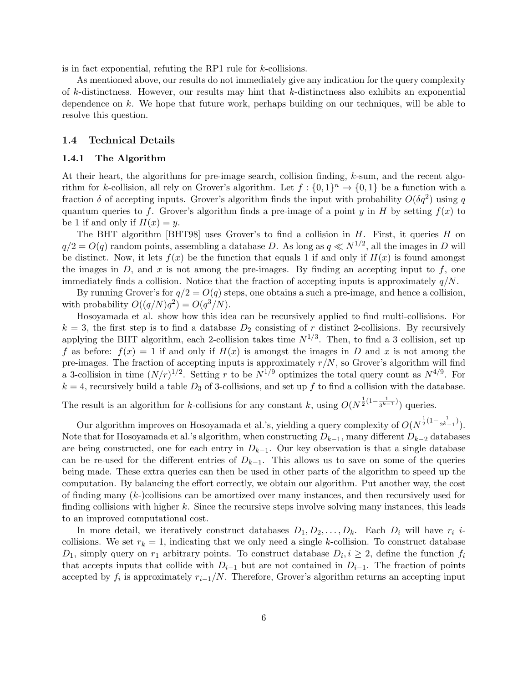is in fact exponential, refuting the RP1 rule for k-collisions.

As mentioned above, our results do not immediately give any indication for the query complexity of  $k$ -distinctness. However, our results may hint that  $k$ -distinctness also exhibits an exponential dependence on k. We hope that future work, perhaps building on our techniques, will be able to resolve this question.

### 1.4 Technical Details

#### 1.4.1 The Algorithm

At their heart, the algorithms for pre-image search, collision finding,  $k$ -sum, and the recent algorithm for k-collision, all rely on Grover's algorithm. Let  $f: \{0,1\}^n \to \{0,1\}$  be a function with a fraction  $\delta$  of accepting inputs. Grover's algorithm finds the input with probability  $O(\delta q^2)$  using q quantum queries to f. Grover's algorithm finds a pre-image of a point y in H by setting  $f(x)$  to be 1 if and only if  $H(x) = y$ .

The BHT algorithm [BHT98] uses Grover's to find a collision in  $H$ . First, it queries  $H$  on  $q/2 = O(q)$  random points, assembling a database D. As long as  $q \ll N^{1/2}$ , all the images in D will be distinct. Now, it lets  $f(x)$  be the function that equals 1 if and only if  $H(x)$  is found amongst the images in  $D$ , and x is not among the pre-images. By finding an accepting input to  $f$ , one immediately finds a collision. Notice that the fraction of accepting inputs is approximately  $q/N$ .

By running Grover's for  $q/2 = O(q)$  steps, one obtains a such a pre-image, and hence a collision, with probability  $O((q/N)q^2) = O(q^3/N)$ .

Hosoyamada et al. show how this idea can be recursively applied to find multi-collisions. For  $k = 3$ , the first step is to find a database  $D_2$  consisting of r distinct 2-collisions. By recursively applying the BHT algorithm, each 2-collision takes time  $N^{1/3}$ . Then, to find a 3 collision, set up f as before:  $f(x) = 1$  if and only if  $H(x)$  is amongst the images in D and x is not among the pre-images. The fraction of accepting inputs is approximately  $r/N$ , so Grover's algorithm will find a 3-collision in time  $(N/r)^{1/2}$ . Setting r to be  $N^{1/9}$  optimizes the total query count as  $N^{4/9}$ . For  $k = 4$ , recursively build a table  $D_3$  of 3-collisions, and set up f to find a collision with the database.

The result is an algorithm for k-collisions for any constant k, using  $O(N^{\frac{1}{2}(1-\frac{1}{3^{k-1}})})$  queries.

Our algorithm improves on Hosoyamada et al.'s, yielding a query complexity of  $O(N^{\frac{1}{2}(1-\frac{1}{2^k-1})})$ . Note that for Hosoyamada et al.'s algorithm, when constructing  $D_{k-1}$ , many different  $D_{k-2}$  databases are being constructed, one for each entry in  $D_{k-1}$ . Our key observation is that a single database can be re-used for the different entries of  $D_{k-1}$ . This allows us to save on some of the queries being made. These extra queries can then be used in other parts of the algorithm to speed up the computation. By balancing the effort correctly, we obtain our algorithm. Put another way, the cost of finding many  $(k-)$ collisions can be amortized over many instances, and then recursively used for finding collisions with higher  $k$ . Since the recursive steps involve solving many instances, this leads to an improved computational cost.

In more detail, we iteratively construct databases  $D_1, D_2, \ldots, D_k$ . Each  $D_i$  will have  $r_i$  *i*collisions. We set  $r_k = 1$ , indicating that we only need a single k-collision. To construct database  $D_1$ , simply query on  $r_1$  arbitrary points. To construct database  $D_i, i \geq 2$ , define the function  $f_i$ that accepts inputs that collide with  $D_{i-1}$  but are not contained in  $D_{i-1}$ . The fraction of points accepted by  $f_i$  is approximately  $r_{i-1}/N$ . Therefore, Grover's algorithm returns an accepting input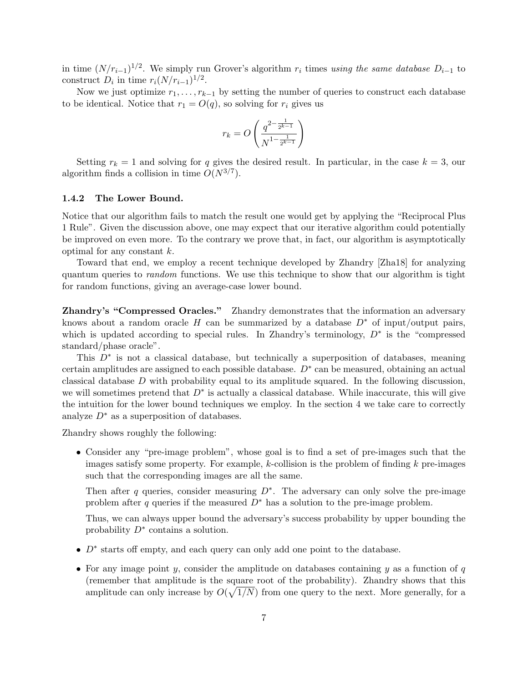in time  $(N/r_{i-1})^{1/2}$ . We simply run Grover's algorithm  $r_i$  times using the same database  $D_{i-1}$  to construct  $D_i$  in time  $r_i(N/r_{i-1})^{1/2}$ .

Now we just optimize  $r_1, \ldots, r_{k-1}$  by setting the number of queries to construct each database to be identical. Notice that  $r_1 = O(q)$ , so solving for  $r_i$  gives us

$$
r_k = O\left(\frac{q^{2-\frac{1}{2^{k-1}}}}{N^{1-\frac{1}{2^{k-1}}}}\right)
$$

Setting  $r_k = 1$  and solving for q gives the desired result. In particular, in the case  $k = 3$ , our algorithm finds a collision in time  $O(N^{3/7})$ .

### 1.4.2 The Lower Bound.

Notice that our algorithm fails to match the result one would get by applying the "Reciprocal Plus 1 Rule". Given the discussion above, one may expect that our iterative algorithm could potentially be improved on even more. To the contrary we prove that, in fact, our algorithm is asymptotically optimal for any constant k.

Toward that end, we employ a recent technique developed by Zhandry [Zha18] for analyzing quantum queries to *random* functions. We use this technique to show that our algorithm is tight for random functions, giving an average-case lower bound.

**Zhandry's "Compressed Oracles."** Zhandry demonstrates that the information an adversary knows about a random oracle H can be summarized by a database  $D^*$  of input/output pairs, which is updated according to special rules. In Zhandry's terminology,  $D^*$  is the "compressed" standard/phase oracle".

This  $D^*$  is not a classical database, but technically a superposition of databases, meaning certain amplitudes are assigned to each possible database.  $D^*$  can be measured, obtaining an actual classical database  $D$  with probability equal to its amplitude squared. In the following discussion, we will sometimes pretend that  $D^*$  is actually a classical database. While inaccurate, this will give the intuition for the lower bound techniques we employ. In the section 4 we take care to correctly analyze  $D^*$  as a superposition of databases.

Zhandry shows roughly the following:

• Consider any "pre-image problem", whose goal is to find a set of pre-images such that the images satisfy some property. For example, k-collision is the problem of finding  $k$  pre-images such that the corresponding images are all the same.

Then after q queries, consider measuring  $D^*$ . The adversary can only solve the pre-image problem after q queries if the measured  $D^*$  has a solution to the pre-image problem.

Thus, we can always upper bound the adversary's success probability by upper bounding the probability  $D^*$  contains a solution.

- $D^*$  starts off empty, and each query can only add one point to the database.
- For any image point y, consider the amplitude on databases containing y as a function of  $q$ (remember that amplitude is the square root of the probability). Zhandry shows that this amplitude can only increase by  $O(\sqrt{1/N})$  from one query to the next. More generally, for a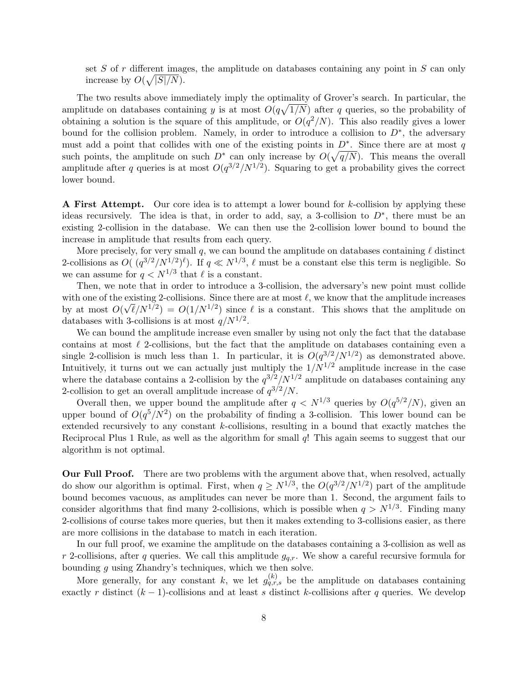set  $S$  of  $r$  different images, the amplitude on databases containing any point in  $S$  can only increase by  $O(\sqrt{|S|/N})$ .

The two results above immediately imply the optimality of Grover's search. In particular, the amplitude on databases containing y is at most  $O(q\sqrt{1/N})$  after q queries, so the probability of obtaining a solution is the square of this amplitude, or  $O(q^2/N)$ . This also readily gives a lower bound for the collision problem. Namely, in order to introduce a collision to  $D^*$ , the adversary must add a point that collides with one of the existing points in  $D^*$ . Since there are at most q such points, the amplitude on such  $D^*$  can only increase by  $O(\sqrt{q/N})$ . This means the overall amplitude after q queries is at most  $O(q^{3/2}/N^{1/2})$ . Squaring to get a probability gives the correct lower bound.

A First Attempt. Our core idea is to attempt a lower bound for k-collision by applying these ideas recursively. The idea is that, in order to add, say, a 3-collision to  $D^*$ , there must be an existing 2-collision in the database. We can then use the 2-collision lower bound to bound the increase in amplitude that results from each query.

More precisely, for very small q, we can bound the amplitude on databases containing  $\ell$  distinct 2-collisions as  $O((q^{3/2}/N^{1/2})^{\ell})$ . If  $q \ll N^{1/3}$ ,  $\ell$  must be a constant else this term is negligible. So we can assume for  $q < N^{1/3}$  that  $\ell$  is a constant.

Then, we note that in order to introduce a 3-collision, the adversary's new point must collide with one of the existing 2-collisions. Since there are at most  $\ell$ , we know that the amplitude increases by at most  $O(\sqrt{\ell}/N^{1/2}) = O(1/N^{1/2})$  since  $\ell$  is a constant. This shows that the amplitude on databases with 3-collisions is at most  $q/N^{1/2}$ .

We can bound the amplitude increase even smaller by using not only the fact that the database contains at most  $\ell$  2-collisions, but the fact that the amplitude on databases containing even a single 2-collision is much less than 1. In particular, it is  $O(q^{3/2}/N^{1/2})$  as demonstrated above. Intuitively, it turns out we can actually just multiply the  $1/N^{1/2}$  amplitude increase in the case where the database contains a 2-collision by the  $q^{3/2}/N^{1/2}$  amplitude on databases containing any 2-collision to get an overall amplitude increase of  $q^{3/2}/N$ .

Overall then, we upper bound the amplitude after  $q \langle N^{1/3}$  queries by  $O(q^{5/2}/N)$ , given an upper bound of  $O(q^5/N^2)$  on the probability of finding a 3-collision. This lower bound can be extended recursively to any constant k-collisions, resulting in a bound that exactly matches the Reciprocal Plus 1 Rule, as well as the algorithm for small q! This again seems to suggest that our algorithm is not optimal.

Our Full Proof. There are two problems with the argument above that, when resolved, actually do show our algorithm is optimal. First, when  $q \ge N^{1/3}$ , the  $O(q^{3/2}/N^{1/2})$  part of the amplitude bound becomes vacuous, as amplitudes can never be more than 1. Second, the argument fails to consider algorithms that find many 2-collisions, which is possible when  $q > N^{1/3}$ . Finding many 2-collisions of course takes more queries, but then it makes extending to 3-collisions easier, as there are more collisions in the database to match in each iteration.

In our full proof, we examine the amplitude on the databases containing a 3-collision as well as r 2-collisions, after q queries. We call this amplitude  $g_{q,r}$ . We show a careful recursive formula for bounding g using Zhandry's techniques, which we then solve.

More generally, for any constant k, we let  $g_{q,r,s}^{(k)}$  be the amplitude on databases containing exactly r distinct  $(k-1)$ -collisions and at least s distinct k-collisions after q queries. We develop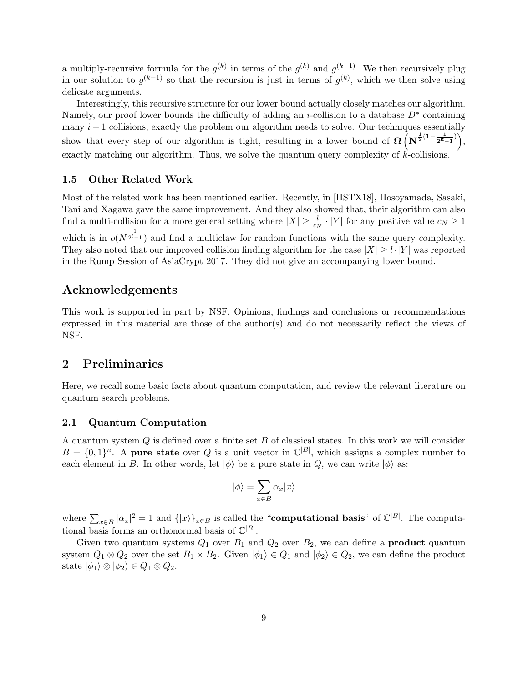a multiply-recursive formula for the  $g^{(k)}$  in terms of the  $g^{(k)}$  and  $g^{(k-1)}$ . We then recursively plug in our solution to  $g^{(k-1)}$  so that the recursion is just in terms of  $g^{(k)}$ , which we then solve using delicate arguments.

Interestingly, this recursive structure for our lower bound actually closely matches our algorithm. Namely, our proof lower bounds the difficulty of adding an *i*-collision to a database  $D^*$  containing many  $i - 1$  collisions, exactly the problem our algorithm needs to solve. Our techniques essentially show that every step of our algorithm is tight, resulting in a lower bound of  $\Omega\left(N^{\frac{1}{2}(1-\frac{1}{2^k-1})}\right)$ , exactly matching our algorithm. Thus, we solve the quantum query complexity of  $k$ -collisions.

### 1.5 Other Related Work

Most of the related work has been mentioned earlier. Recently, in [HSTX18], Hosoyamada, Sasaki, Tani and Xagawa gave the same improvement. And they also showed that, their algorithm can also find a multi-collision for a more general setting where  $|X| \geq \frac{l}{c_N} \cdot |Y|$  for any positive value  $c_N \geq 1$ which is in  $o(N^{\frac{1}{2^l-1}})$  and find a multiclaw for random functions with the same query complexity. They also noted that our improved collision finding algorithm for the case  $|X| \ge l \cdot |Y|$  was reported in the Rump Session of AsiaCrypt 2017. They did not give an accompanying lower bound.

# Acknowledgements

This work is supported in part by NSF. Opinions, findings and conclusions or recommendations expressed in this material are those of the author(s) and do not necessarily reflect the views of NSF.

# 2 Preliminaries

Here, we recall some basic facts about quantum computation, and review the relevant literature on quantum search problems.

### 2.1 Quantum Computation

A quantum system  $Q$  is defined over a finite set  $B$  of classical states. In this work we will consider  $B = \{0,1\}^n$ . A pure state over Q is a unit vector in  $\mathbb{C}^{|B|}$ , which assigns a complex number to each element in B. In other words, let  $|\phi\rangle$  be a pure state in Q, we can write  $|\phi\rangle$  as:

$$
|\phi\rangle = \sum_{x \in B} \alpha_x |x\rangle
$$

where  $\sum_{x \in B} |\alpha_x|^2 = 1$  and  $\{|x\rangle\}_{x \in B}$  is called the "**computational basis**" of  $\mathbb{C}^{|B|}$ . The computational basis forms an orthonormal basis of  $\mathbb{C}^{|B|}$ .

Given two quantum systems  $Q_1$  over  $B_1$  and  $Q_2$  over  $B_2$ , we can define a **product** quantum system  $Q_1 \otimes Q_2$  over the set  $B_1 \times B_2$ . Given  $|\phi_1\rangle \in Q_1$  and  $|\phi_2\rangle \in Q_2$ , we can define the product state  $|\phi_1\rangle \otimes |\phi_2\rangle \in Q_1 \otimes Q_2$ .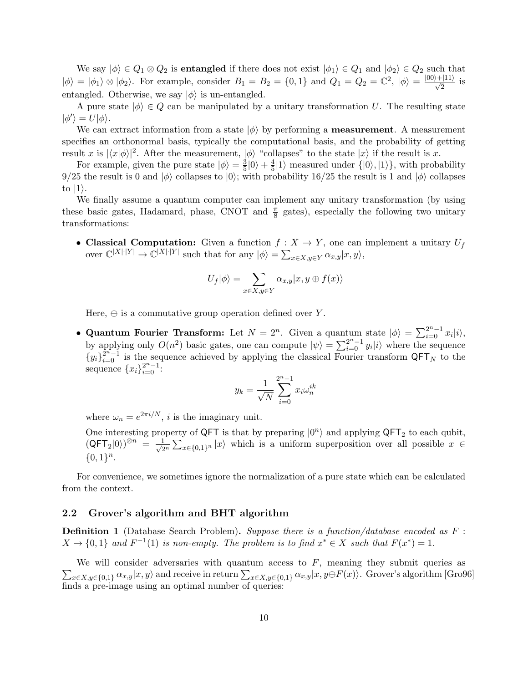We say  $|\phi\rangle \in Q_1 \otimes Q_2$  is **entangled** if there does not exist  $|\phi_1\rangle \in Q_1$  and  $|\phi_2\rangle \in Q_2$  such that  $|\phi\rangle = |\phi_1\rangle \otimes |\phi_2\rangle$ . For example, consider  $B_1 = B_2 = \{0, 1\}$  and  $Q_1 = Q_2 = \mathbb{C}^2$ ,  $|\phi\rangle = \frac{|00\rangle + |11\rangle}{\sqrt{2}}$  is entangled. Otherwise, we say  $|\phi\rangle$  is un-entangled.

A pure state  $|\phi\rangle \in Q$  can be manipulated by a unitary transformation U. The resulting state  $|\phi'\rangle = U|\phi\rangle.$ 

We can extract information from a state  $|\phi\rangle$  by performing a **measurement**. A measurement specifies an orthonormal basis, typically the computational basis, and the probability of getting result x is  $|\langle x|\phi\rangle|^2$ . After the measurement,  $|\phi\rangle$  "collapses" to the state  $|x\rangle$  if the result is x.

For example, given the pure state  $|\phi\rangle = \frac{3}{5}$  $\frac{3}{5}|0\rangle + \frac{4}{5}$  $\frac{4}{5}$ |1 $\rangle$  measured under  $\{|0\rangle, |1\rangle\}$ , with probability 9/25 the result is 0 and  $|\phi\rangle$  collapses to  $|0\rangle$ ; with probability 16/25 the result is 1 and  $|\phi\rangle$  collapses to  $|1\rangle$ .

We finally assume a quantum computer can implement any unitary transformation (by using these basic gates, Hadamard, phase, CNOT and  $\frac{\pi}{8}$  gates), especially the following two unitary transformations:

• Classical Computation: Given a function  $f: X \to Y$ , one can implement a unitary  $U_f$ over  $\mathbb{C}^{|X|\cdot|Y|} \to \mathbb{C}^{|X|\cdot|Y|}$  such that for any  $|\phi\rangle = \sum_{x \in X, y \in Y} \alpha_{x,y} |x, y\rangle$ ,

$$
U_f|\phi\rangle = \sum_{x \in X, y \in Y} \alpha_{x,y} |x, y \oplus f(x)\rangle
$$

Here,  $\oplus$  is a commutative group operation defined over Y.

• Quantum Fourier Transform: Let  $N = 2^n$ . Given a quantum state  $|\phi\rangle = \sum_{i=0}^{2^n-1} x_i |i\rangle$ , by applying only  $O(n^2)$  basic gates, one can compute  $|\psi\rangle = \sum_{i=0}^{2^n-1} y_i |i\rangle$  where the sequence  ${y_i}_{i=0}^{2^n-1}$  is the sequence achieved by applying the classical Fourier transform QFT<sub>N</sub> to the sequence  ${x_i}_{i=0}^{2^n-1}$ :<br> $y_k = \frac{1}{k} \sum_{i=0}^{2^n-1}$ 

$$
y_k = \frac{1}{\sqrt{N}} \sum_{i=0}^{2^n - 1} x_i \omega_n^{ik}
$$

where  $\omega_n = e^{2\pi i/N}$ , *i* is the imaginary unit.

One interesting property of QFT is that by preparing  $|0^n\rangle$  and applying QFT<sub>2</sub> to each qubit,  $(\mathsf{QFT}_2 | 0 \rangle)^{\otimes n} = \frac{1}{\sqrt{2}}$  $\frac{1}{2^n} \sum_{x \in \{0,1\}^n} |x\rangle$  which is a uniform superposition over all possible  $x \in$  ${0,1}^n$ .

For convenience, we sometimes ignore the normalization of a pure state which can be calculated from the context.

### 2.2 Grover's algorithm and BHT algorithm

**Definition 1** (Database Search Problem). Suppose there is a function/database encoded as F:  $X \to \{0,1\}$  and  $F^{-1}(1)$  is non-empty. The problem is to find  $x^* \in X$  such that  $F(x^*) = 1$ .

 $\sum_{x \in X, y \in \{0,1\}} \alpha_{x,y} |x, y\rangle$  and receive in return  $\sum_{x \in X, y \in \{0,1\}} \alpha_{x,y} |x, y \oplus F(x)\rangle$ . Grover's algorithm [Gro96] We will consider adversaries with quantum access to  $F$ , meaning they submit queries as finds a pre-image using an optimal number of queries: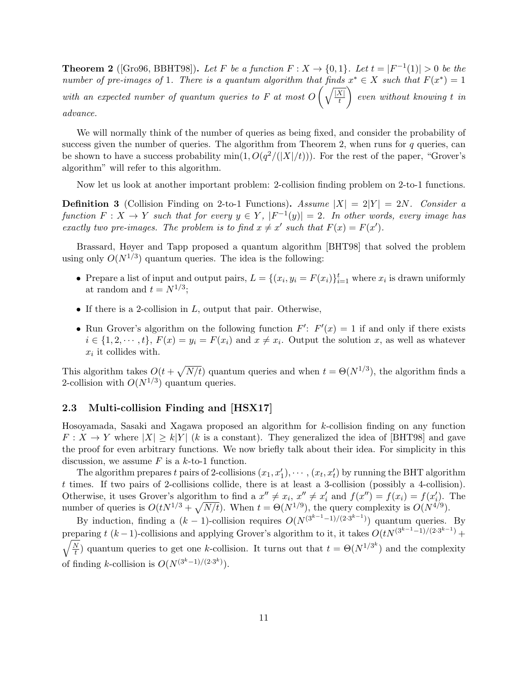**Theorem 2** ([Gro96, BBHT98]). Let F be a function  $F: X \to \{0,1\}$ . Let  $t = |F^{-1}(1)| > 0$  be the number of pre-images of 1. There is a quantum algorithm that finds  $x^* \in X$  such that  $F(x^*) = 1$ with an expected number of quantum queries to F at most  $O\left(\sqrt{\frac{|X|}{t}}\right)$ t  $\bigg\}$  even without knowing t in advance.

We will normally think of the number of queries as being fixed, and consider the probability of success given the number of queries. The algorithm from Theorem 2, when runs for  $q$  queries, can be shown to have a success probability  $\min(1, O(q^2/(|X|/t)))$ . For the rest of the paper, "Grover's algorithm" will refer to this algorithm.

Now let us look at another important problem: 2-collision finding problem on 2-to-1 functions.

**Definition 3** (Collision Finding on 2-to-1 Functions). Assume  $|X| = 2|Y| = 2N$ . Consider a function  $F: X \to Y$  such that for every  $y \in Y$ ,  $|F^{-1}(y)| = 2$ . In other words, every image has exactly two pre-images. The problem is to find  $x \neq x'$  such that  $F(x) = F(x')$ .

Brassard, Høyer and Tapp proposed a quantum algorithm [BHT98] that solved the problem using only  $O(N^{1/3})$  quantum queries. The idea is the following:

- Prepare a list of input and output pairs,  $L = \{(x_i, y_i) \}_{i=1}^t$  where  $x_i$  is drawn uniformly at random and  $t = N^{1/3}$ ;
- If there is a 2-collision in  $L$ , output that pair. Otherwise,
- Run Grover's algorithm on the following function  $F'$ :  $F'(x) = 1$  if and only if there exists  $i \in \{1, 2, \dots, t\}, F(x) = y_i = F(x_i)$  and  $x \neq x_i$ . Output the solution x, as well as whatever  $x_i$  it collides with.

This algorithm takes  $O(t+\sqrt{N/t})$  quantum queries and when  $t = \Theta(N^{1/3})$ , the algorithm finds a 2-collision with  $O(N^{1/3})$  quantum queries.

### 2.3 Multi-collision Finding and [HSX17]

Hosoyamada, Sasaki and Xagawa proposed an algorithm for k-collision finding on any function  $F: X \to Y$  where  $|X| \ge k|Y|$  (k is a constant). They generalized the idea of [BHT98] and gave the proof for even arbitrary functions. We now briefly talk about their idea. For simplicity in this discussion, we assume  $F$  is a  $k$ -to-1 function.

The algorithm prepares t pairs of 2-collisions  $(x_1, x'_1), \cdots, (x_t, x'_t)$  by running the BHT algorithm t times. If two pairs of 2-collisions collide, there is at least a 3-collision (possibly a 4-collision). Otherwise, it uses Grover's algorithm to find a  $x'' \neq x_i$ ,  $x'' \neq x'_i$  and  $f(x'') = f(x_i) = f(x'_i)$ . The number of queries is  $O(tN^{1/3} + \sqrt{N/t})$ . When  $t = \Theta(N^{1/9})$ , the query complexity is  $O(N^{4/9})$ .

By induction, finding a  $(k-1)$ -collision requires  $O(N^{(3^{k-1}-1)/(2\cdot3^{k-1})})$  quantum queries. By preparing t  $(k-1)$ -collisions and applying Grover's algorithm to it, it takes  $O(tN^{(3^{k-1}-1)/(2\cdot3^{k-1})} +$  $\sqrt{N}$  $\frac{N}{t}$ ) quantum queries to get one k-collision. It turns out that  $t = \Theta(N^{1/3^k})$  and the complexity of finding k-collision is  $O(N^{(3^k-1)/(2\cdot3^k)})$ .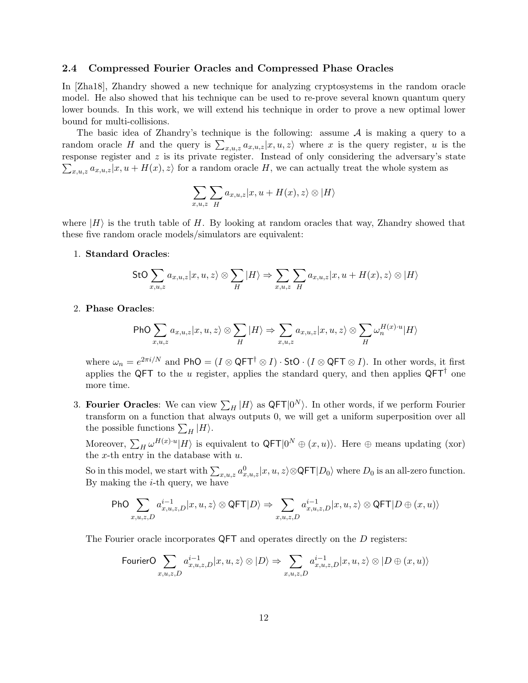### 2.4 Compressed Fourier Oracles and Compressed Phase Oracles

In [Zha18], Zhandry showed a new technique for analyzing cryptosystems in the random oracle model. He also showed that his technique can be used to re-prove several known quantum query lower bounds. In this work, we will extend his technique in order to prove a new optimal lower bound for multi-collisions.

The basic idea of Zhandry's technique is the following: assume  $A$  is making a query to a random oracle H and the query is  $\sum_{x,u,z} a_{x,u,z} |x,u,z\rangle$  where x is the query register, u is the  $\sum_{x,u,z} a_{x,u,z}|x,u+H(x),z\rangle$  for a random oracle H, we can actually treat the whole system as response register and z is its private register. Instead of only considering the adversary's state

$$
\sum_{x,u,z}\sum_{H}a_{x,u,z}|x,u+H(x),z\rangle \otimes |H\rangle
$$

where  $|H\rangle$  is the truth table of H. By looking at random oracles that way, Zhandry showed that these five random oracle models/simulators are equivalent:

### 1. Standard Oracles:

$$
\mathsf{StO}\sum_{x,u,z}a_{x,u,z}|x,u,z\rangle\otimes\sum_{H}|H\rangle\Rightarrow\sum_{x,u,z}\sum_{H}a_{x,u,z}|x,u+H(x),z\rangle\otimes|H\rangle
$$

### 2. Phase Oracles:

$$
\text{PhO} \sum_{x,u,z} a_{x,u,z} |x, u, z\rangle \otimes \sum_{H} |H\rangle \Rightarrow \sum_{x,u,z} a_{x,u,z} |x, u, z\rangle \otimes \sum_{H} \omega_n^{H(x) \cdot u} |H\rangle
$$

where  $\omega_n = e^{2\pi i/N}$  and PhO =  $(I \otimes \mathsf{QFT}^\dagger \otimes I) \cdot \mathsf{StO} \cdot (I \otimes \mathsf{QFT} \otimes I)$ . In other words, it first applies the QFT to the u register, applies the standard query, and then applies  $QFT^{\dagger}$  one more time.

3. Fourier Oracles: We can view  $\sum_H |H\rangle$  as QFT $|0^N\rangle$ . In other words, if we perform Fourier transform on a function that always outputs 0, we will get a uniform superposition over all the possible functions  $\sum_H |H\rangle$ .

Moreover,  $\sum_H \omega^{H(x)\cdot u} |H\rangle$  is equivalent to  $\mathsf{QFT}|0^N \oplus (x,u)\rangle$ . Here  $\oplus$  means updating (xor) the  $x$ -th entry in the database with  $u$ .

So in this model, we start with  $\sum_{x,u,z} a_{x,u,z}^0 |x,u,z\rangle \otimes \mathsf{QFT}|D_0\rangle$  where  $D_0$  is an all-zero function. By making the  $i$ -th query, we have

$$
\mathrm{PhO}\sum_{x,u,z,D}a^{i-1}_{x,u,z,D}|x,u,z\rangle\otimes \mathsf{QFT}|D\rangle \Rightarrow \sum_{x,u,z,D}a^{i-1}_{x,u,z,D}|x,u,z\rangle\otimes \mathsf{QFT}|D\oplus (x,u)\rangle
$$

The Fourier oracle incorporates QFT and operates directly on the D registers:

$$
\text{FourierO }\sum_{x,u,z,D}a^{i-1}_{x,u,z,D}|x,u,z\rangle\otimes|D\rangle\Rightarrow\sum_{x,u,z,D}a^{i-1}_{x,u,z,D}|x,u,z\rangle\otimes|D\oplus(x,u)\rangle
$$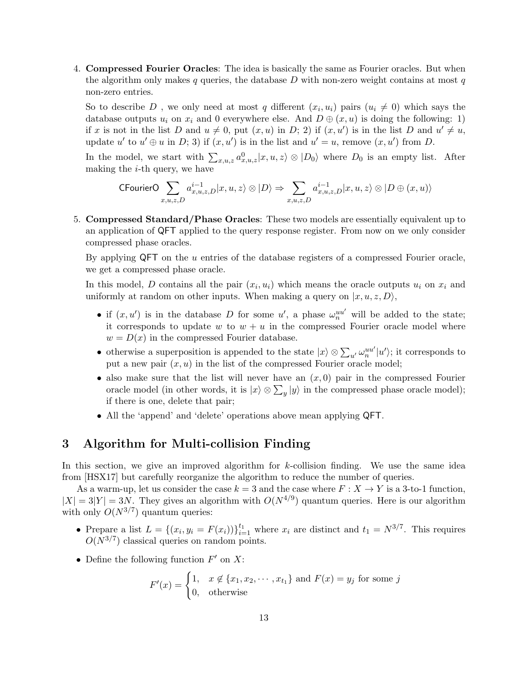4. Compressed Fourier Oracles: The idea is basically the same as Fourier oracles. But when the algorithm only makes  $q$  queries, the database  $D$  with non-zero weight contains at most  $q$ non-zero entries.

So to describe D, we only need at most q different  $(x_i, u_i)$  pairs  $(u_i \neq 0)$  which says the database outputs  $u_i$  on  $x_i$  and 0 everywhere else. And  $D \oplus (x, u)$  is doing the following: 1) if x is not in the list D and  $u \neq 0$ , put  $(x, u)$  in D; 2) if  $(x, u')$  is in the list D and  $u' \neq u$ , update u' to  $u' \oplus u$  in D; 3) if  $(x, u')$  is in the list and  $u' = u$ , remove  $(x, u')$  from D.

In the model, we start with  $\sum_{x,u,z} a_{x,u,z}^0 |x,u,z\rangle \otimes |D_0\rangle$  where  $D_0$  is an empty list. After making the  $i$ -th query, we have

$$
\mathsf{CFourierO}\sum_{x,u,z,D}a^{i-1}_{x,u,z,D}\vert x,u,z\rangle\otimes\vert D\rangle\Rightarrow\sum_{x,u,z,D}a^{i-1}_{x,u,z,D}\vert x,u,z\rangle\otimes\vert D\oplus (x,u)\rangle
$$

5. Compressed Standard/Phase Oracles: These two models are essentially equivalent up to an application of QFT applied to the query response register. From now on we only consider compressed phase oracles.

By applying  $QFT$  on the  $u$  entries of the database registers of a compressed Fourier oracle, we get a compressed phase oracle.

In this model, D contains all the pair  $(x_i, u_i)$  which means the oracle outputs  $u_i$  on  $x_i$  and uniformly at random on other inputs. When making a query on  $|x, u, z, D\rangle$ ,

- if  $(x, u')$  is in the database D for some u', a phase  $\omega_n^{uu'}$  will be added to the state; it corresponds to update w to  $w + u$  in the compressed Fourier oracle model where  $w = D(x)$  in the compressed Fourier database.
- otherwise a superposition is appended to the state  $|x\rangle \otimes \sum_{u'} \omega_n^{uu'} |u'\rangle$ ; it corresponds to put a new pair  $(x, u)$  in the list of the compressed Fourier oracle model;
- also make sure that the list will never have an  $(x, 0)$  pair in the compressed Fourier oracle model (in other words, it is  $|x\rangle \otimes \sum_{y}|y\rangle$  in the compressed phase oracle model); if there is one, delete that pair;
- All the 'append' and 'delete' operations above mean applying QFT.

# 3 Algorithm for Multi-collision Finding

In this section, we give an improved algorithm for k-collision finding. We use the same idea from [HSX17] but carefully reorganize the algorithm to reduce the number of queries.

As a warm-up, let us consider the case  $k = 3$  and the case where  $F : X \to Y$  is a 3-to-1 function,  $|X| = 3|Y| = 3N$ . They gives an algorithm with  $O(N^{4/9})$  quantum queries. Here is our algorithm with only  $O(N^{3/7})$  quantum queries:

- Prepare a list  $L = \{(x_i, y_i = F(x_i))\}_{i=1}^{t_1}$  where  $x_i$  are distinct and  $t_1 = N^{3/7}$ . This requires  $O(N^{3/7})$  classical queries on random points.
- Define the following function  $F'$  on  $X$ :

$$
F'(x) = \begin{cases} 1, & x \notin \{x_1, x_2, \cdots, x_{t_1}\} \text{ and } F(x) = y_j \text{ for some } j \\ 0, & \text{otherwise} \end{cases}
$$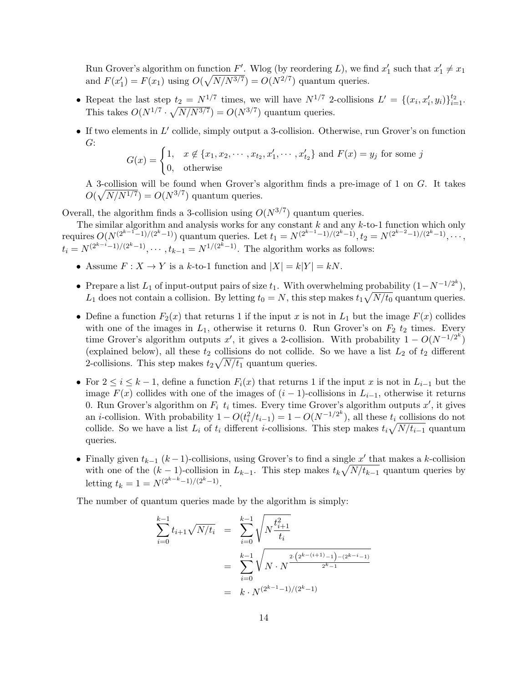Run Grover's algorithm on function  $F'$ . Wlog (by reordering L), we find  $x'_1$  such that  $x'_1 \neq x_1$ and  $F(x_1') = F(x_1)$  using  $O(\sqrt{N/N^{3/7}}) = O(N^{2/7})$  quantum queries.

- Repeat the last step  $t_2 = N^{1/7}$  times, we will have  $N^{1/7}$  2-collisions  $L' = \{(x_i, x'_i, y_i)\}_{i=1}^{t_2}$ . This takes  $O(N^{1/7} \cdot \sqrt{N/N^{3/7}}) = O(N^{3/7})$  quantum queries.
- $\bullet$  If two elements in  $L'$  collide, simply output a 3-collision. Otherwise, run Grover's on function G:

$$
G(x) = \begin{cases} 1, & x \notin \{x_1, x_2, \cdots, x_{t_2}, x'_1, \cdots, x'_{t_2}\} \text{ and } F(x) = y_j \text{ for some } j \\ 0, & \text{otherwise} \end{cases}
$$

A 3-collision will be found when Grover's algorithm finds a pre-image of 1 on G. It takes  $O(\sqrt{N/N^{1/7}}) = O(N^{3/7})$  quantum queries.

Overall, the algorithm finds a 3-collision using  $O(N^{3/7})$  quantum queries.

The similar algorithm and analysis works for any constant  $k$  and any  $k$ -to-1 function which only requires  $O(N^{(2^{k-1}-1)/(2^k-1)})$  quantum queries. Let  $t_1 = N^{(2^{k-1}-1)/(2^k-1)}, t_2 = N^{(2^{k-2}-1)/(2^k-1)}, \ldots$  $t_i = N^{(2^{k-i}-1)/(2^k-1)}, \cdots, t_{k-1} = N^{1/(2^k-1)}$ . The algorithm works as follows:

- Assume  $F: X \to Y$  is a k-to-1 function and  $|X| = k|Y| = kN$ .
- Prepare a list  $L_1$  of input-output pairs of size  $t_1$ . With overwhelming probability  $(1 N^{-1/2^k})$ ,  $L_1$  does not contain a collision. By letting  $t_0 = N$ , this step makes  $t_1 \sqrt{N/t_0}$  quantum queries.
- Define a function  $F_2(x)$  that returns 1 if the input x is not in  $L_1$  but the image  $F(x)$  collides with one of the images in  $L_1$ , otherwise it returns 0. Run Grover's on  $F_2$   $t_2$  times. Every time Grover's algorithm outputs x', it gives a 2-collision. With probability  $1 - O(N^{-1/2^k})$ (explained below), all these  $t_2$  collisions do not collide. So we have a list  $L_2$  of  $t_2$  different 2-collisions. This step makes  $t_2\sqrt{N/t_1}$  quantum queries.
- For  $2 \leq i \leq k-1$ , define a function  $F_i(x)$  that returns 1 if the input x is not in  $L_{i-1}$  but the image  $F(x)$  collides with one of the images of  $(i - 1)$ -collisions in  $L_{i-1}$ , otherwise it returns 0. Run Grover's algorithm on  $F_i$   $t_i$  times. Every time Grover's algorithm outputs  $x'$ , it gives an *i*-collision. With probability  $1 - O(t_i^2/t_{i-1}) = 1 - O(N^{-1/2^k})$ , all these  $t_i$  collisions do not collide. So we have a list  $L_i$  of  $t_i$  different *i*-collisions. This step makes  $t_i \sqrt{N/t_{i-1}}$  quantum queries.
- Finally given  $t_{k-1}$  ( $k-1$ )-collisions, using Grover's to find a single  $x'$  that makes a k-collision with one of the  $(k-1)$ -collision in  $L_{k-1}$ . This step makes  $t_k\sqrt{N/t_{k-1}}$  quantum queries by letting  $t_k = 1 = N^{(2^{k-k}-1)/(2^k-1)}$ .

The number of quantum queries made by the algorithm is simply:

$$
\sum_{i=0}^{k-1} t_{i+1} \sqrt{N/t_i} = \sum_{i=0}^{k-1} \sqrt{N \frac{t_{i+1}^2}{t_i}}
$$
  
= 
$$
\sum_{i=0}^{k-1} \sqrt{N \cdot N \frac{\frac{2 \cdot (2^{k-(i+1)}-1) - (2^{k-i}-1)}{2^k - 1}}}{\frac{k}{K} \cdot N^{(2^{k-1}-1)/(2^k-1)}}
$$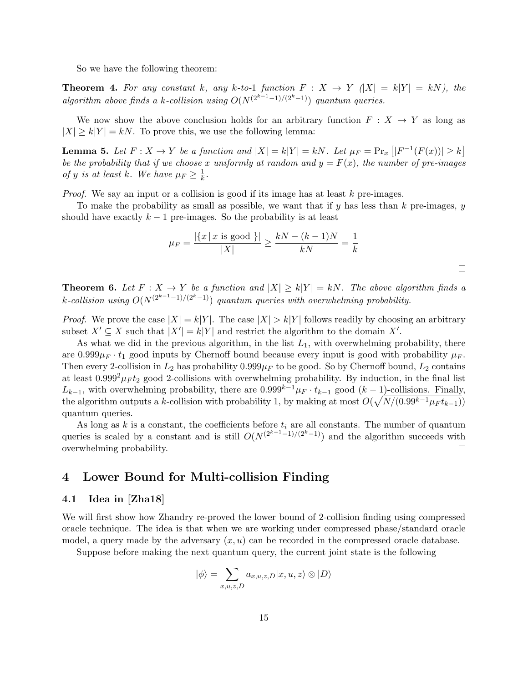So we have the following theorem:

**Theorem 4.** For any constant k, any k-to-1 function  $F: X \rightarrow Y$   $\vert X \vert = k \vert Y \vert = kN$ ), the algorithm above finds a k-collision using  $O(N^{(2^{k-1}-1)/(2^{k}-1)})$  quantum queries.

We now show the above conclusion holds for an arbitrary function  $F: X \to Y$  as long as  $|X| \ge k|Y| = kN$ . To prove this, we use the following lemma:

**Lemma 5.** Let  $F: X \to Y$  be a function and  $|X| = k|Y| = kN$ . Let  $\mu_F = \Pr_x \left[ |F^{-1}(F(x))| \geq k \right]$ be the probability that if we choose x uniformly at random and  $y = F(x)$ , the number of pre-images of y is at least k. We have  $\mu_F \geq \frac{1}{k}$  $\frac{1}{k}$ .

*Proof.* We say an input or a collision is good if its image has at least  $k$  pre-images.

To make the probability as small as possible, we want that if  $y$  has less than  $k$  pre-images,  $y$ should have exactly  $k - 1$  pre-images. So the probability is at least

$$
\mu_F = \frac{|\{x \mid x \text{ is good }\}|}{|X|} \ge \frac{kN - (k-1)N}{kN} = \frac{1}{k}
$$

 $\Box$ 

**Theorem 6.** Let  $F: X \to Y$  be a function and  $|X| \ge k|Y| = kN$ . The above algorithm finds a k-collision using  $O(N^{(2^{k-1}-1)/(2^{k}-1)})$  quantum queries with overwhelming probability.

*Proof.* We prove the case  $|X| = k|Y|$ . The case  $|X| > k|Y|$  follows readily by choosing an arbitrary subset  $X' \subseteq X$  such that  $|X'| = k|Y|$  and restrict the algorithm to the domain X'.

As what we did in the previous algorithm, in the list  $L_1$ , with overwhelming probability, there are  $0.999\mu_F \cdot t_1$  good inputs by Chernoff bound because every input is good with probability  $\mu_F$ . Then every 2-collision in  $L_2$  has probability  $0.999\mu_F$  to be good. So by Chernoff bound,  $L_2$  contains at least  $0.999^2\mu_F t_2$  good 2-collisions with overwhelming probability. By induction, in the final list  $L_{k-1}$ , with overwhelming probability, there are  $0.999^{k-1}\mu_F \cdot t_{k-1}$  good  $(k-1)$ -collisions. Finally, the algorithm outputs a k-collision with probability 1, by making at most  $O(\sqrt{N/(0.99^{k-1} \mu_F t_{k-1})})$ quantum queries.

As long as k is a constant, the coefficients before  $t_i$  are all constants. The number of quantum queries is scaled by a constant and is still  $O(N^{(2^{k-1}-1)/(2^k-1)})$  and the algorithm succeeds with overwhelming probability.  $\Box$ 

# 4 Lower Bound for Multi-collision Finding

### 4.1 Idea in [Zha18]

We will first show how Zhandry re-proved the lower bound of 2-collision finding using compressed oracle technique. The idea is that when we are working under compressed phase/standard oracle model, a query made by the adversary  $(x, u)$  can be recorded in the compressed oracle database.

Suppose before making the next quantum query, the current joint state is the following

$$
|\phi\rangle = \sum_{x,u,z,D} a_{x,u,z,D} |x,u,z\rangle \otimes |D\rangle
$$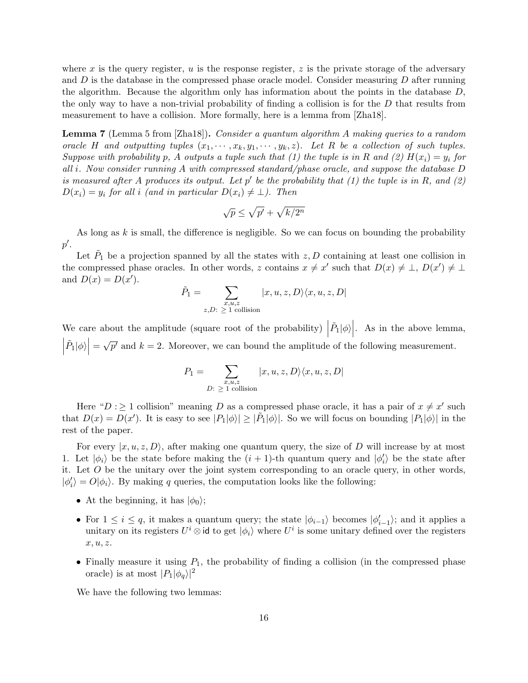where x is the query register,  $u$  is the response register,  $z$  is the private storage of the adversary and  $D$  is the database in the compressed phase oracle model. Consider measuring  $D$  after running the algorithm. Because the algorithm only has information about the points in the database D, the only way to have a non-trivial probability of finding a collision is for the  $D$  that results from measurement to have a collision. More formally, here is a lemma from [Zha18].

Lemma 7 (Lemma 5 from [Zha18]). Consider a quantum algorithm A making queries to a random oracle H and outputting tuples  $(x_1, \dots, x_k, y_1, \dots, y_k, z)$ . Let R be a collection of such tuples. Suppose with probability p, A outputs a tuple such that (1) the tuple is in R and (2)  $H(x_i) = y_i$  for all i. Now consider running A with compressed standard/phase oracle, and suppose the database  $D$ is measured after A produces its output. Let  $p'$  be the probability that (1) the tuple is in R, and (2)  $D(x_i) = y_i$  for all i (and in particular  $D(x_i) \neq \bot$ ). Then

$$
\sqrt{p} \le \sqrt{p'} + \sqrt{k/2^n}
$$

As long as  $k$  is small, the difference is negligible. So we can focus on bounding the probability  $p^{\prime}$ .

Let  $\tilde{P}_1$  be a projection spanned by all the states with  $z, D$  containing at least one collision in the compressed phase oracles. In other words, z contains  $x \neq x'$  such that  $D(x) \neq \bot$ ,  $D(x') \neq \bot$ and  $D(x) = D(x')$ .

$$
\tilde{P}_1 = \sum_{\substack{x, u, z \\ z, D: \ \geq 1 \text{ collision}}} |x, u, z, D\rangle \langle x, u, z, D|
$$

We care about the amplitude (square root of the probability)  $\Big|$  $\tilde{P}_1|\phi\rangle\Big|$ . As in the above lemma,  $\tilde{P}_1|\phi\rangle\Big|=$ √  $\overline{p'}$  and  $k = 2$ . Moreover, we can bound the amplitude of the following measurement.

$$
P_1 = \sum_{\substack{x,u,z\\D:\ \geq\ 1\ \text{collision}}} |x,u,z,D\rangle\langle x,u,z,D|
$$

Here " $D : \geq 1$  collision" meaning D as a compressed phase oracle, it has a pair of  $x \neq x'$  such that  $D(x) = D(x')$ . It is easy to see  $|P_1|\phi\rangle \geq |\tilde{P}_1|\phi\rangle$ . So we will focus on bounding  $|P_1|\phi\rangle$  in the rest of the paper.

For every  $|x, u, z, D\rangle$ , after making one quantum query, the size of D will increase by at most 1. Let  $|\phi_i\rangle$  be the state before making the  $(i + 1)$ -th quantum query and  $|\phi'_i\rangle$  be the state after it. Let  $O$  be the unitary over the joint system corresponding to an oracle query, in other words,  $|\phi'_i\rangle = O|\phi_i\rangle$ . By making q queries, the computation looks like the following:

- At the beginning, it has  $|\phi_0\rangle$ ;
- For  $1 \leq i \leq q$ , it makes a quantum query; the state  $|\phi_{i-1}\rangle$  becomes  $|\phi'_{i-1}\rangle$ ; and it applies a unitary on its registers  $U^i \otimes \text{id}$  to get  $|\phi_i\rangle$  where  $U^i$  is some unitary defined over the registers  $x, u, z.$
- Finally measure it using  $P_1$ , the probability of finding a collision (in the compressed phase oracle) is at most  $|P_1|\phi_q\rangle|^2$

We have the following two lemmas: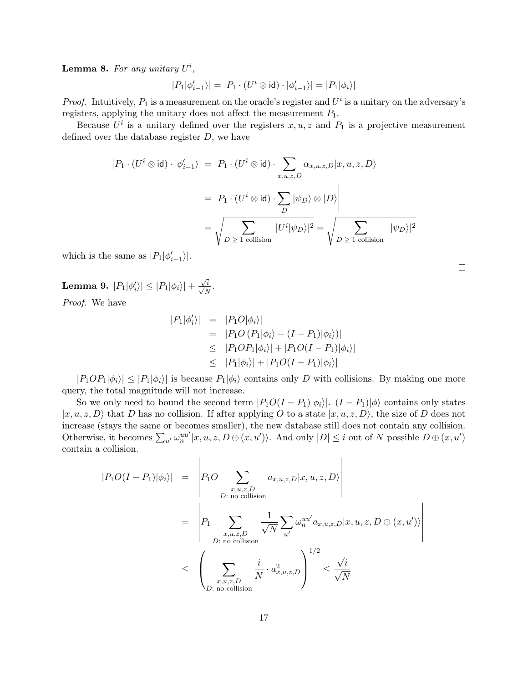**Lemma 8.** For any unitary  $U^i$ ,

$$
|P_1|\phi'_{i-1}\rangle|=|P_1\cdot(U^i\otimes\operatorname{\sf id})\cdot|\phi'_{i-1}\rangle|=|P_1|\phi_i\rangle|
$$

*Proof.* Intuitively,  $P_1$  is a measurement on the oracle's register and  $U^i$  is a unitary on the adversary's registers, applying the unitary does not affect the measurement  $P_1$ .

Because  $U^i$  is a unitary defined over the registers  $x, u, z$  and  $P_1$  is a projective measurement defined over the database register  $D$ , we have

 $\mathbf{I}$ 

$$
|P_1 \cdot (U^i \otimes \mathrm{id}) \cdot |\phi'_{i-1}\rangle| = \left| P_1 \cdot (U^i \otimes \mathrm{id}) \cdot \sum_{x,u,z,D} \alpha_{x,u,z,D} |x, u, z, D \rangle \right|
$$
  
= 
$$
\left| P_1 \cdot (U^i \otimes \mathrm{id}) \cdot \sum_D |\psi_D \rangle \otimes |D \rangle \right|
$$
  
= 
$$
\sqrt{\sum_{D \ge 1 \text{ collision}} |U^i|\psi_D\rangle|^2} = \sqrt{\sum_{D \ge 1 \text{ collision}} |\psi_D\rangle|^2}
$$

which is the same as  $|P_1|\phi'_{i-1}\rangle|$ .

**Lemma 9.** 
$$
|P_1|\phi'_i\rangle |\leq |P_1|\phi_i\rangle | + \frac{\sqrt{i}}{\sqrt{N}}
$$
.  
Proof. We have

Proof. We have

$$
|P_1|\phi'_i\rangle| = |P_1O|\phi_i\rangle|
$$
  
\n
$$
= |P_1O(P_1|\phi_i\rangle + (I - P_1)|\phi_i\rangle)|
$$
  
\n
$$
\leq |P_1OP_1|\phi_i\rangle| + |P_1O(I - P_1)|\phi_i\rangle|
$$
  
\n
$$
\leq |P_1|\phi_i\rangle| + |P_1O(I - P_1)|\phi_i\rangle|
$$

 $|P_1OP_1|\phi_i\rangle| \leq |P_1|\phi_i\rangle|$  is because  $P_1|\phi_i\rangle$  contains only D with collisions. By making one more query, the total magnitude will not increase.

So we only need to bound the second term  $|P_1O(I-P_1)|\phi_i\rangle$ .  $(I-P_1)|\phi\rangle$  contains only states  $|x, u, z, D\rangle$  that D has no collision. If after applying O to a state  $|x, u, z, D\rangle$ , the size of D does not increase (stays the same or becomes smaller), the new database still does not contain any collision. Otherwise, it becomes  $\sum_{u'} \omega_n^{uu'} | x, u, z, D \oplus (x, u')\rangle$ . And only  $|D| \leq i$  out of N possible  $D \oplus (x, u')$ contain a collision.

 $\overline{1}$ 

$$
|P_1O(I - P_1)|\phi_i\rangle| = \left| P_1O \sum_{\substack{x,u,z,D \\ D:\text{ no collision}}} a_{x,u,z,D} |x,u,z,D \rangle \right|
$$
  
= 
$$
\left| P_1 \sum_{\substack{x,u,z,D \\ D:\text{ no collision}}} \frac{1}{\sqrt{N}} \sum_{u'} \omega_n^{uu'} a_{x,u,z,D} |x,u,z,D \oplus (x,u') \rangle \right|
$$
  

$$
\leq \left( \sum_{\substack{x,u,z,D \\ D:\text{ no collision}}} \frac{i}{N} \cdot a_{x,u,z,D}^2 \right)^{1/2} \leq \frac{\sqrt{i}}{\sqrt{N}}
$$

 $\Box$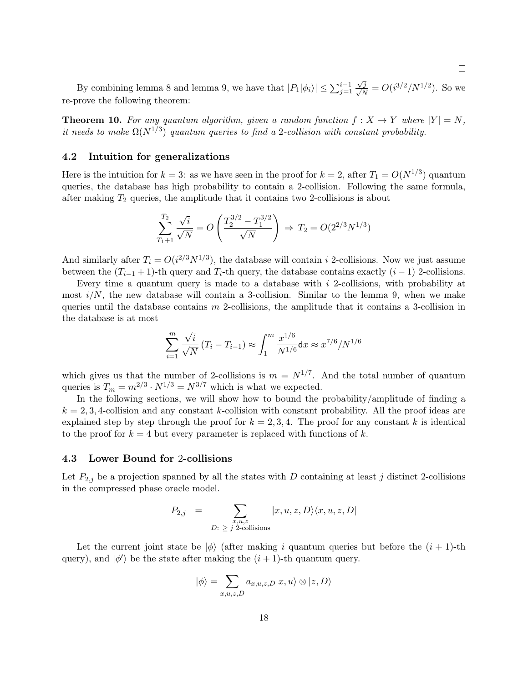By combining lemma 8 and lemma 9, we have that  $|P_1|\phi_i\rangle \le \sum_{j=1}^{i-1}$  $\frac{\sqrt{j}}{\sqrt{N}} = O(i^{3/2}/N^{1/2})$ . So we re-prove the following theorem:

**Theorem 10.** For any quantum algorithm, given a random function  $f: X \to Y$  where  $|Y| = N$ . it needs to make  $\Omega(N^{1/3})$  quantum queries to find a 2-collision with constant probability.

### 4.2 Intuition for generalizations

Here is the intuition for  $k = 3$ : as we have seen in the proof for  $k = 2$ , after  $T_1 = O(N^{1/3})$  quantum queries, the database has high probability to contain a 2-collision. Following the same formula, after making  $T_2$  queries, the amplitude that it contains two 2-collisions is about

$$
\sum_{T_1+1}^{T_2} \frac{\sqrt{i}}{\sqrt{N}} = O\left(\frac{T_2^{3/2} - T_1^{3/2}}{\sqrt{N}}\right) \Rightarrow T_2 = O(2^{2/3} N^{1/3})
$$

And similarly after  $T_i = O(i^{2/3}N^{1/3})$ , the database will contain i 2-collisions. Now we just assume between the  $(T_{i-1} + 1)$ -th query and  $T_i$ -th query, the database contains exactly  $(i - 1)$  2-collisions.

Every time a quantum query is made to a database with i 2-collisions, with probability at most  $i/N$ , the new database will contain a 3-collision. Similar to the lemma 9, when we make queries until the database contains  $m$  2-collisions, the amplitude that it contains a 3-collision in the database is at most

$$
\sum_{i=1}^{m} \frac{\sqrt{i}}{\sqrt{N}} (T_i - T_{i-1}) \approx \int_{1}^{m} \frac{x^{1/6}}{N^{1/6}} dx \approx x^{7/6}/N^{1/6}
$$

which gives us that the number of 2-collisions is  $m = N^{1/7}$ . And the total number of quantum queries is  $T_m = m^{2/3} \cdot N^{1/3} = N^{3/7}$  which is what we expected.

In the following sections, we will show how to bound the probability/amplitude of finding a  $k = 2, 3, 4$ -collision and any constant k-collision with constant probability. All the proof ideas are explained step by step through the proof for  $k = 2, 3, 4$ . The proof for any constant k is identical to the proof for  $k = 4$  but every parameter is replaced with functions of k.

#### 4.3 Lower Bound for 2-collisions

Let  $P_{2,j}$  be a projection spanned by all the states with D containing at least j distinct 2-collisions in the compressed phase oracle model.

$$
P_{2,j} = \sum_{\substack{x,u,z \\ D:\ z \ j \ \text{2-collisions}}} |x, u, z, D\rangle \langle x, u, z, D|
$$

Let the current joint state be  $|\phi\rangle$  (after making i quantum queries but before the  $(i + 1)$ -th query), and  $|\phi'\rangle$  be the state after making the  $(i + 1)$ -th quantum query.

$$
|\phi\rangle = \sum_{x,u,z,D} a_{x,u,z,D} |x,u\rangle \otimes |z,D\rangle
$$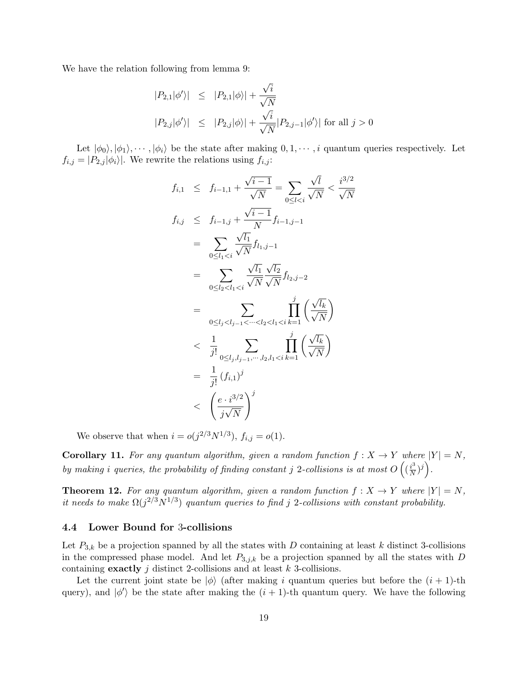We have the relation following from lemma 9:

$$
\begin{array}{lcl} |P_{2,1}|\phi'\rangle| & \leq & \displaystyle |P_{2,1}|\phi\rangle| + \frac{\sqrt{i}}{\sqrt{N}}\\ \\ |P_{2,j}|\phi'\rangle| & \leq & \displaystyle |P_{2,j}|\phi\rangle| + \frac{\sqrt{i}}{\sqrt{N}}|P_{2,j-1}|\phi'\rangle| \text{ for all } j>0 \end{array}
$$

Let  $|\phi_0\rangle, |\phi_1\rangle, \dots, |\phi_i\rangle$  be the state after making  $0, 1, \dots, i$  quantum queries respectively. Let  $f_{i,j} = |P_{2,j}|\phi_i\rangle$ . We rewrite the relations using  $f_{i,j}$ :

$$
f_{i,1} \leq f_{i-1,1} + \frac{\sqrt{i-1}}{\sqrt{N}} = \sum_{0 \leq l < i} \frac{\sqrt{l}}{\sqrt{N}} < \frac{i^{3/2}}{\sqrt{N}}
$$
\n
$$
f_{i,j} \leq f_{i-1,j} + \frac{\sqrt{i-1}}{N} f_{i-1,j-1}
$$
\n
$$
= \sum_{0 \leq l_1 < i} \frac{\sqrt{l_1}}{\sqrt{N}} f_{l_1,j-1}
$$
\n
$$
= \sum_{0 \leq l_2 < l_1 < i} \frac{\sqrt{l_1}}{\sqrt{N}} \frac{\sqrt{l_2}}{\sqrt{N}} f_{l_2,j-2}
$$
\n
$$
= \sum_{0 \leq l_j < l_{j-1} < \dots < l_2 < l_1 < i} \prod_{k=1}^j \left( \frac{\sqrt{l_k}}{\sqrt{N}} \right)
$$
\n
$$
\leq \frac{1}{j!} \sum_{0 \leq l_j, l_{j-1}, \dots, l_2, l_1 < i} \prod_{k=1}^j \left( \frac{\sqrt{l_k}}{\sqrt{N}} \right)
$$
\n
$$
= \frac{1}{j!} (f_{i,1})^j
$$
\n
$$
\leq \left( \frac{e \cdot i^{3/2}}{j \sqrt{N}} \right)^j
$$

We observe that when  $i = o(j^{2/3}N^{1/3}), f_{i,j} = o(1)$ .

**Corollary 11.** For any quantum algorithm, given a random function  $f : X \to Y$  where  $|Y| = N$ , by making i queries, the probability of finding constant j 2-collisions is at most  $O\left(\frac{i^3}{N}\right)$  $\frac{i^3}{N})^j$ .

**Theorem 12.** For any quantum algorithm, given a random function  $f : X \to Y$  where  $|Y| = N$ , it needs to make  $\Omega(j^{2/3}N^{1/3})$  quantum queries to find j 2-collisions with constant probability.

### 4.4 Lower Bound for 3-collisions

Let  $P_{3,k}$  be a projection spanned by all the states with D containing at least k distinct 3-collisions in the compressed phase model. And let  $P_{3,j,k}$  be a projection spanned by all the states with D containing **exactly**  $j$  distinct 2-collisions and at least  $k$  3-collisions.

Let the current joint state be  $|\phi\rangle$  (after making i quantum queries but before the  $(i + 1)$ -th query), and  $|\phi'\rangle$  be the state after making the  $(i + 1)$ -th quantum query. We have the following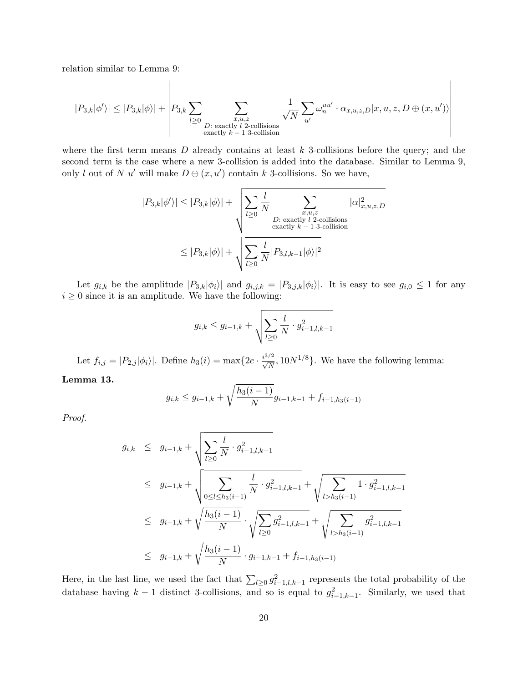relation similar to Lemma 9:

$$
|P_{3,k}|\phi'\rangle| \leq |P_{3,k}|\phi\rangle| + \left|P_{3,k}\sum_{l\geq 0}\sum_{\substack{x,u,z\\ \text{exactly $l$ $2$-collisions}}}\frac{1}{\sqrt{N}}\sum_{u'}\omega_n^{uu'}\cdot\alpha_{x,u,z,D}|x,u,z,D\oplus (x,u')\rangle\right|
$$

where the first term means  $D$  already contains at least  $k$  3-collisions before the query; and the second term is the case where a new 3-collision is added into the database. Similar to Lemma 9, only l out of N u' will make  $D \oplus (x, u')$  contain k 3-collisions. So we have,

$$
|P_{3,k}|\phi'\rangle| \le |P_{3,k}|\phi\rangle| + \sqrt{\sum_{l\geq 0} \frac{l}{N} \sum_{\substack{x,u,z\\ \text{exactly } l \text{ 2-collisions} \\ \text{exactly } k-1 \text{ 3-collision} }} |\alpha|_{x,u,z,D}^2}
$$

$$
\le |P_{3,k}|\phi\rangle| + \sqrt{\sum_{l\geq 0} \frac{l}{N} |P_{3,l,k-1}|\phi\rangle|^2}
$$

Let  $g_{i,k}$  be the amplitude  $|P_{3,k}|\phi_i\rangle|$  and  $g_{i,j,k} = |P_{3,j,k}|\phi_i\rangle|$ . It is easy to see  $g_{i,0} \leq 1$  for any  $i \geq 0$  since it is an amplitude. We have the following:

$$
g_{i,k} \leq g_{i-1,k} + \sqrt{\sum_{l \geq 0} \frac{l}{N} \cdot g_{i-1,l,k-1}^2}
$$

Let  $f_{i,j} = |P_{2,j}|\phi_i\rangle|$ . Define  $h_3(i) = \max\{2e \cdot \frac{i^{3/2}}{\sqrt{N}}, 10N^{1/8}\}\.$  We have the following lemma:

Lemma 13.

$$
g_{i,k} \le g_{i-1,k} + \sqrt{\frac{h_3(i-1)}{N}} g_{i-1,k-1} + f_{i-1,h_3(i-1)}
$$

Proof.

$$
g_{i,k} \leq g_{i-1,k} + \sqrt{\sum_{l\geq 0} \frac{l}{N} \cdot g_{i-1,l,k-1}^2}
$$
  
\n
$$
\leq g_{i-1,k} + \sqrt{\sum_{0 \leq l \leq h_3(i-1)} \frac{l}{N} \cdot g_{i-1,l,k-1}^2} + \sqrt{\sum_{l>h_3(i-1)} 1 \cdot g_{i-1,l,k-1}^2}
$$
  
\n
$$
\leq g_{i-1,k} + \sqrt{\frac{h_3(i-1)}{N}} \cdot \sqrt{\sum_{l\geq 0} g_{i-1,l,k-1}^2} + \sqrt{\sum_{l>h_3(i-1)} g_{i-1,l,k-1}^2}
$$
  
\n
$$
\leq g_{i-1,k} + \sqrt{\frac{h_3(i-1)}{N}} \cdot g_{i-1,k-1} + f_{i-1,h_3(i-1)}
$$

Here, in the last line, we used the fact that  $\sum_{l\geq 0} g_{i-1,l,k-1}^2$  represents the total probability of the database having  $k-1$  distinct 3-collisions, and so is equal to  $g_{i-1,k-1}^2$ . Similarly, we used that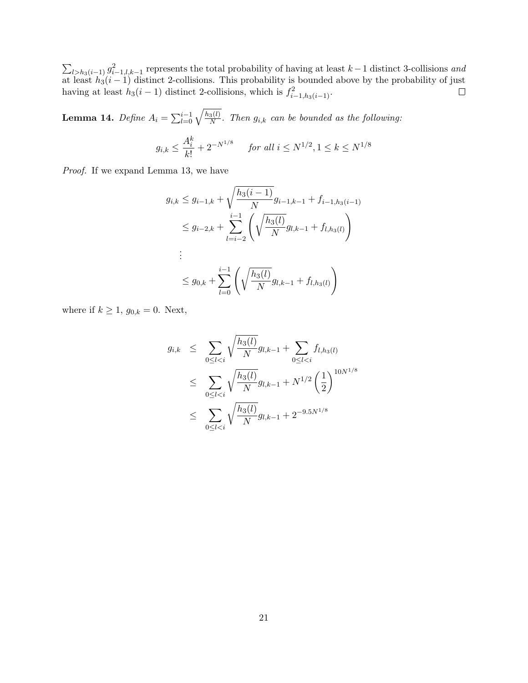$\sum_{l>h_3(i-1)} g_{i-1,l,k-1}^2$  represents the total probability of having at least  $k-1$  distinct 3-collisions and at least  $h_3(i-1)$  distinct 2-collisions. This probability is bounded above by the probability of just having at least  $h_3(i-1)$  distinct 2-collisions, which is  $f_{i-1,h_3(i-1)}^2$ .

Lemma 14.  $Define \ A_i = \sum_{l=0}^{i-1} \sqrt{\frac{h_3(l)}{N}}$  $\frac{3(b)}{N}$ . Then  $g_{i,k}$  can be bounded as the following:

$$
g_{i,k} \leq \frac{A_i^k}{k!} + 2^{-N^{1/8}}
$$
 for all  $i \leq N^{1/2}, 1 \leq k \leq N^{1/8}$ 

Proof. If we expand Lemma 13, we have

$$
g_{i,k} \le g_{i-1,k} + \sqrt{\frac{h_3(i-1)}{N}} g_{i-1,k-1} + f_{i-1,h_3(i-1)}
$$
  
\n
$$
\le g_{i-2,k} + \sum_{l=i-2}^{i-1} \left( \sqrt{\frac{h_3(l)}{N}} g_{l,k-1} + f_{l,h_3(l)} \right)
$$
  
\n:  
\n
$$
\le g_{0,k} + \sum_{l=0}^{i-1} \left( \sqrt{\frac{h_3(l)}{N}} g_{l,k-1} + f_{l,h_3(l)} \right)
$$

where if  $k \geq 1$ ,  $g_{0,k} = 0$ . Next,

$$
g_{i,k} \leq \sum_{0 \leq l < i} \sqrt{\frac{h_3(l)}{N}} g_{l,k-1} + \sum_{0 \leq l < i} f_{l,h_3(l)} \\
\leq \sum_{0 \leq l < i} \sqrt{\frac{h_3(l)}{N}} g_{l,k-1} + N^{1/2} \left(\frac{1}{2}\right)^{10N^{1/8}} \\
\leq \sum_{0 \leq l < i} \sqrt{\frac{h_3(l)}{N}} g_{l,k-1} + 2^{-9.5N^{1/8}}
$$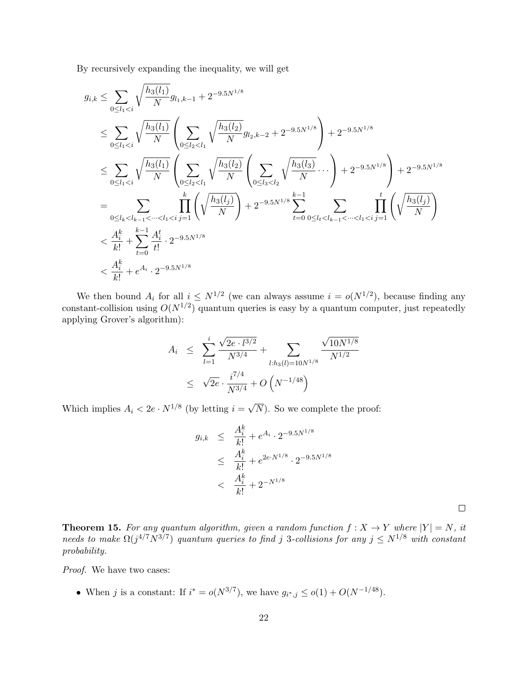By recursively expanding the inequality, we will get

$$
g_{i,k} \leq \sum_{0 \leq l_1 < i} \sqrt{\frac{h_3(l_1)}{N}} g_{l_1,k-1} + 2^{-9.5N^{1/8}}
$$
\n
$$
\leq \sum_{0 \leq l_1 < i} \sqrt{\frac{h_3(l_1)}{N}} \left( \sum_{0 \leq l_2 < l_1} \sqrt{\frac{h_3(l_2)}{N}} g_{l_2,k-2} + 2^{-9.5N^{1/8}} \right) + 2^{-9.5N^{1/8}}
$$
\n
$$
\leq \sum_{0 \leq l_1 < i} \sqrt{\frac{h_3(l_1)}{N}} \left( \sum_{0 \leq l_2 < l_1} \sqrt{\frac{h_3(l_2)}{N}} \left( \sum_{0 \leq l_3 < l_2} \sqrt{\frac{h_3(l_3)}{N}} \cdots \right) + 2^{-9.5N^{1/8}} \right) + 2^{-9.5N^{1/8}}
$$
\n
$$
= \sum_{0 \leq l_k < l_{k-1} < \dots < l_1 < i} \prod_{j=1}^k \left( \sqrt{\frac{h_3(l_j)}{N}} \right) + 2^{-9.5N^{1/8}} \sum_{t=0}^{k-1} \sum_{0 \leq l_t < l_{k-1} < \dots < l_1 < i} \prod_{j=1}^t \left( \sqrt{\frac{h_3(l_j)}{N}} \right)
$$
\n
$$
< \frac{A_i^k}{k!} + \sum_{t=0}^{k-1} \frac{A_i^t}{t!} \cdot 2^{-9.5N^{1/8}}
$$
\n
$$
< \frac{A_i^k}{k!} + e^{A_i} \cdot 2^{-9.5N^{1/8}}
$$

We then bound  $A_i$  for all  $i \leq N^{1/2}$  (we can always assume  $i = o(N^{1/2})$ , because finding any constant-collision using  $O(N^{1/2})$  quantum queries is easy by a quantum computer, just repeatedly applying Grover's algorithm):

$$
A_i \leq \sum_{l=1}^i \frac{\sqrt{2e \cdot l^{3/2}}}{N^{3/4}} + \sum_{l:h_3(l)=10N^{1/8}} \frac{\sqrt{10N^{1/8}}}{N^{1/2}}
$$
  
 
$$
\leq \sqrt{2e} \cdot \frac{i^{7/4}}{N^{3/4}} + O\left(N^{-1/48}\right)
$$

Which implies  $A_i < 2e \cdot N^{1/8}$  (by letting  $i =$ √ N). So we complete the proof:

$$
g_{i,k} \leq \frac{A_i^k}{k!} + e^{A_i} \cdot 2^{-9.5N^{1/8}}
$$
  
 
$$
\leq \frac{A_i^k}{k!} + e^{2e \cdot N^{1/8}} \cdot 2^{-9.5N^{1/8}}
$$
  
 
$$
< \frac{A_i^k}{k!} + 2^{-N^{1/8}}
$$

 $\Box$ 

**Theorem 15.** For any quantum algorithm, given a random function  $f: X \to Y$  where  $|Y| = N$ , it needs to make  $\Omega(j^{4/7}N^{3/7})$  quantum queries to find j 3-collisions for any  $j \le N^{1/8}$  with constant probability.

Proof. We have two cases:

• When j is a constant: If  $i^* = o(N^{3/7})$ , we have  $g_{i^*,j} \leq o(1) + O(N^{-1/48})$ .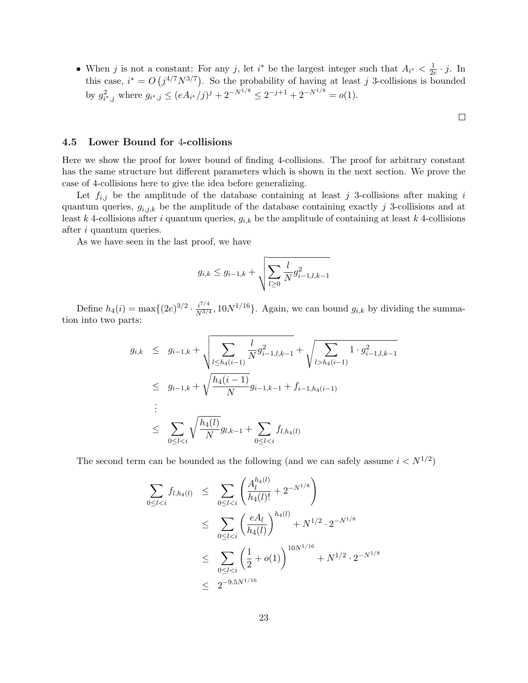• When j is not a constant: For any j, let i<sup>\*</sup> be the largest integer such that  $A_{i^*} < \frac{1}{2}$  $\frac{1}{2e} \cdot j$ . In this case,  $i^* = O(j^{4/7}N^{3/7})$ . So the probability of having at least j 3-collisions is bounded by  $g_{i^*,j}^2$  where  $g_{i^*,j} \leq (eA_{i^*}/j)^j + 2^{-N^{1/8}} \leq 2^{-j+1} + 2^{-N^{1/8}} = o(1)$ .

 $\Box$ 

### 4.5 Lower Bound for 4-collisions

Here we show the proof for lower bound of finding 4-collisions. The proof for arbitrary constant has the same structure but different parameters which is shown in the next section. We prove the case of 4-collisions here to give the idea before generalizing.

Let  $f_{i,j}$  be the amplitude of the database containing at least j 3-collisions after making i quantum queries,  $g_{i,j,k}$  be the amplitude of the database containing exactly j 3-collisions and at least k 4-collisions after i quantum queries,  $g_{i,k}$  be the amplitude of containing at least k 4-collisions after i quantum queries.

As we have seen in the last proof, we have

$$
g_{i,k} \leq g_{i-1,k} + \sqrt{\sum_{l \geq 0} \frac{l}{N} g_{i-1,l,k-1}^2}
$$

Define  $h_4(i) = \max\{(2e)^{3/2} \cdot \frac{i^{7/4}}{N^{3/4}}\}$  $\frac{i^{7/4}}{N^{3/4}}$ , 10 $N^{1/16}$ . Again, we can bound  $g_{i,k}$  by dividing the summation into two parts:

$$
g_{i,k} \leq g_{i-1,k} + \sqrt{\sum_{l \leq h_4(i-1)} \frac{l}{N} g_{i-1,l,k-1}^2} + \sqrt{\sum_{l > h_4(i-1)} 1 \cdot g_{i-1,l,k-1}^2}
$$
  

$$
\leq g_{i-1,k} + \sqrt{\frac{h_4(i-1)}{N}} g_{i-1,k-1} + f_{i-1,h_4(i-1)}
$$
  

$$
\vdots
$$
  

$$
\leq \sum_{0 \leq l < i} \sqrt{\frac{h_4(l)}{N}} g_{l,k-1} + \sum_{0 \leq l < i} f_{l,h_4(l)}
$$

The second term can be bounded as the following (and we can safely assume  $i < N^{1/2}$ )

$$
\sum_{0 \le l < i} f_{l, h_4(l)} \le \sum_{0 \le l < i} \left( \frac{A_l^{h_4(l)}}{h_4(l)!} + 2^{-N^{1/8}} \right)
$$
\n
$$
\le \sum_{0 \le l < i} \left( \frac{eA_l}{h_4(l)} \right)^{h_4(l)} + N^{1/2} \cdot 2^{-N^{1/8}}
$$
\n
$$
\le \sum_{0 \le l < i} \left( \frac{1}{2} + o(1) \right)^{10N^{1/16}} + N^{1/2} \cdot 2^{-N^{1/8}}
$$
\n
$$
\le 2^{-9.5N^{1/16}}
$$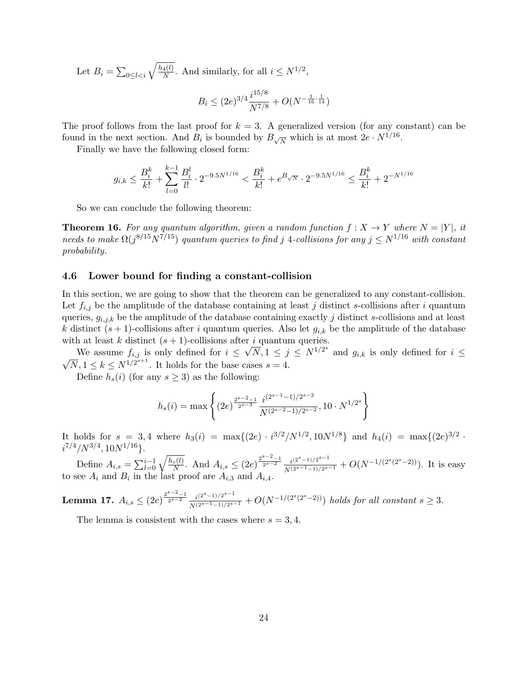Let  $B_i = \sum_{0 \leq l < i} \sqrt{\frac{h_4(l)}{N}}$  $\frac{4(l)}{N}$ . And similarly, for all  $i \leq N^{1/2}$ ,

$$
B_i \le (2e)^{3/4} \frac{i^{15/8}}{N^{7/8}} + O(N^{-\frac{1}{16} \cdot \frac{1}{14}})
$$

The proof follows from the last proof for  $k = 3$ . A generalized version (for any constant) can be found in the next section. And  $B_i$  is bounded by  $B_{\sqrt{N}}$  which is at most  $2e \cdot N^{1/16}$ .

Finally we have the following closed form:

$$
g_{i,k} \le \frac{B_i^k}{k!} + \sum_{l=0}^{k-1} \frac{B_i^l}{l!} \cdot 2^{-9.5N^{1/16}} < \frac{B_i^k}{k!} + e^{B\sqrt{N}} \cdot 2^{-9.5N^{1/16}} \le \frac{B_i^k}{k!} + 2^{-N^{1/16}}
$$

So we can conclude the following theorem:

**Theorem 16.** For any quantum algorithm, given a random function  $f: X \to Y$  where  $N = |Y|$ , it needs to make  $\Omega(j^{8/15}N^{7/15})$  quantum queries to find j 4-collisions for any  $j \le N^{1/16}$  with constant probability.

### 4.6 Lower bound for finding a constant-collision

In this section, we are going to show that the theorem can be generalized to any constant-collision. Let  $f_{i,j}$  be the amplitude of the database containing at least j distinct s-collisions after i quantum queries,  $g_{i,j,k}$  be the amplitude of the database containing exactly j distinct s-collisions and at least k distinct  $(s + 1)$ -collisions after i quantum queries. Also let  $g_{i,k}$  be the amplitude of the database with at least k distinct  $(s + 1)$ -collisions after i quantum queries.

We assume  $f_{i,j}$  is only defined for  $i \leq \sqrt{N}$ ,  $1 \leq j \leq N^{1/2^{s}}$  and  $g_{i,k}$  is only defined for  $i \leq$ We assume  $j_{i,j}$  is only defined for  $i \leq \sqrt{x}, 1 \leq j$ <br> $\sqrt{N}, 1 \leq k \leq N^{1/2^{s+1}}$ . It holds for the base cases  $s = 4$ .

Define  $h_s(i)$  (for any  $s \geq 3$ ) as the following:

$$
h_s(i) = \max\left\{ (2e)^{\frac{2^{s-2}-1}{2^{s-3}}} \frac{i^{(2^{s-1}-1)/2^{s-2}}}{N^{(2^{s-2}-1)/2^{s-2}}}, 10 \cdot N^{1/2^s} \right\}
$$

It holds for  $s = 3, 4$  where  $h_3(i) = \max\{(2e) \cdot i^{3/2}/N^{1/2}, 10N^{1/8}\}\$  and  $h_4(i) = \max\{(2e)^{3/2} \cdot$  $i^{7/4}/N^{3/4}, 10N^{1/16}$ .

Define  $A_{i,s} = \sum_{l=0}^{i-1} \sqrt{\frac{h_s(l)}{N}}$  $\frac{\overline{s(l)}}{N}$ . And  $A_{i,s} \leq (2e)^{\frac{2^{s-2}-1}{2^{s-2}}} \frac{i^{(2^s-1)/2^{s-1}}}{N^{(2^{s-1}-1)/2^{s-1}}} + O(N^{-1/(2^s(2^s-2))})$ . It is easy to see  $A_i$  and  $B_i$  in the last proof are  $A_{i,3}$  and  $A_{i,4}$ .

**Lemma 17.**  $A_{i,s} \leq (2e)^{\frac{2^{s-2}-1}{2^{s-2}}} \frac{i^{(2^s-1)/2^{s-1}}}{N^{(2^s-1}-1)/2^{s-1}} + O(N^{-1/(2^s(2^s-2))})$  holds for all constant  $s \geq 3$ .

The lemma is consistent with the cases where  $s = 3, 4$ .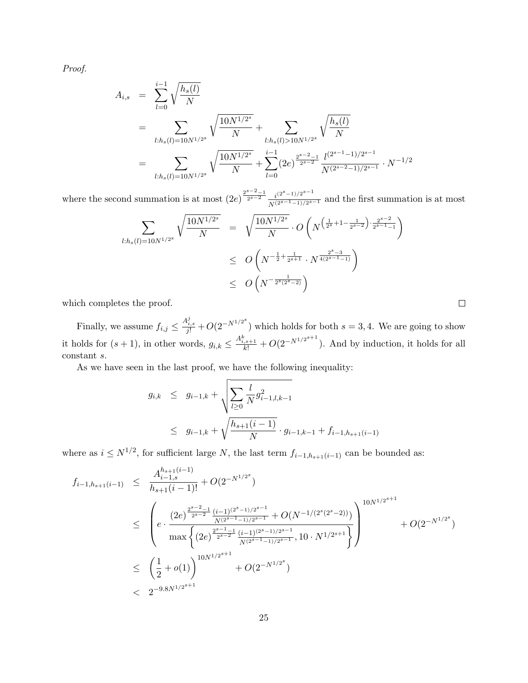Proof.

$$
A_{i,s} = \sum_{l=0}^{i-1} \sqrt{\frac{h_s(l)}{N}} = \sum_{l:h_s(l)=10N^{1/2^s}} \sqrt{\frac{10N^{1/2^s}}{N}} + \sum_{l:h_s(l)>10N^{1/2^s}} \sqrt{\frac{h_s(l)}{N}} = \sum_{l:h_s(l)=10N^{1/2^s}} \sqrt{\frac{10N^{1/2^s}}{N}} + \sum_{l=0}^{i-1} (2e)^{\frac{2^{s-2}-1}{2^{s-2}}} \frac{l^{(2^{s-1}-1)/2^{s-1}}}{N^{(2^{s-2}-1)/2^{s-1}}} \cdot N^{-1/2}
$$

where the second summation is at most  $(2e)^{\frac{2^{s-2}-1}{2^{s-2}}} \frac{i^{(2^s-1)/2^{s-1}}}{N^{(2^{s-1}-1)/2^{s-1}}}$  and the first summation is at most

$$
\sum_{l:h_s(l)=10N^{1/2^s}} \sqrt{\frac{10N^{1/2^s}}{N}} = \sqrt{\frac{10N^{1/2^s}}{N}} \cdot O\left(N^{\left(\frac{1}{2^s}+1-\frac{1}{2^{s-2}}\right) \cdot \frac{2^{s-2}}{2^{s-1}-1}}\right)
$$
\n
$$
\leq O\left(N^{-\frac{1}{2}+\frac{1}{2^{s+1}}} \cdot N^{\frac{2^s-3}{4(2^{s-1}-1)}}\right)
$$
\n
$$
\leq O\left(N^{-\frac{1}{2^s(2^s-2)}}\right)
$$

which completes the proof.

Finally, we assume  $f_{i,j} \leq \frac{A_{i,s}^j}{j!} + O(2^{-N^{1/2^s}})$  which holds for both  $s = 3, 4$ . We are going to show it holds for  $(s + 1)$ , in other words,  $g_{i,k} \leq \frac{A_{i,s+1}^k}{k!} + O(2^{-N^{1/2^{s+1}}})$ . And by induction, it holds for all constant s.

As we have seen in the last proof, we have the following inequality:

$$
g_{i,k} \leq g_{i-1,k} + \sqrt{\sum_{l\geq 0} \frac{l}{N} g_{i-1,l,k-1}^2}
$$
  
 
$$
\leq g_{i-1,k} + \sqrt{\frac{h_{s+1}(i-1)}{N}} \cdot g_{i-1,k-1} + f_{i-1,h_{s+1}(i-1)}
$$

where as  $i \leq N^{1/2}$ , for sufficient large N, the last term  $f_{i-1,h_{s+1}(i-1)}$  can be bounded as:

$$
f_{i-1,h_{s+1}(i-1)} \leq \frac{A_{i-1,s}^{h_{s+1}(i-1)}}{h_{s+1}(i-1)!} + O(2^{-N^{1/2^{s}}})
$$
  
\n
$$
\leq \left(e \cdot \frac{(2e)^{\frac{2^{s-2}-1}{2^{s-2}}\frac{(i-1)^{(2^{s}-1)/2^{s-1}}}{N^{(2s-1-1)/2^{s-1}}} + O(N^{-1/(2^{s}(2^{s}-2))})}{N^{(2s-1-1)/2^{s-1}}\frac{10N^{1/2^{s+1}}}{N^{(2s-1-1)/2^{s-1}}}, 10 \cdot N^{1/2^{s+1}}\right)} + O(2^{-N^{1/2^{s}}})
$$
  
\n
$$
\leq \left(\frac{1}{2} + o(1)\right)^{10N^{1/2^{s+1}}} + O(2^{-N^{1/2^{s}}})
$$

 $\Box$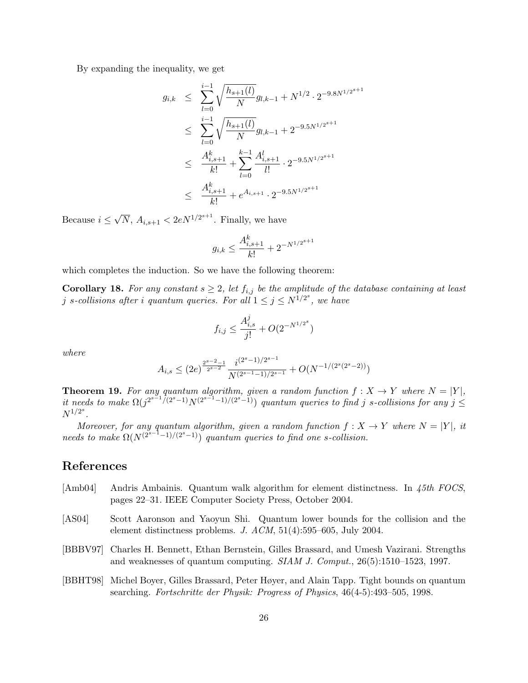By expanding the inequality, we get

$$
g_{i,k} \leq \sum_{l=0}^{i-1} \sqrt{\frac{h_{s+1}(l)}{N}} g_{l,k-1} + N^{1/2} \cdot 2^{-9.8N^{1/2^{s+1}}}
$$
  
\n
$$
\leq \sum_{l=0}^{i-1} \sqrt{\frac{h_{s+1}(l)}{N}} g_{l,k-1} + 2^{-9.5N^{1/2^{s+1}}}
$$
  
\n
$$
\leq \frac{A_{i,s+1}^k}{k!} + \sum_{l=0}^{k-1} \frac{A_{i,s+1}^l}{l!} \cdot 2^{-9.5N^{1/2^{s+1}}}
$$
  
\n
$$
\leq \frac{A_{i,s+1}^k}{k!} + e^{A_{i,s+1}} \cdot 2^{-9.5N^{1/2^{s+1}}}
$$

Because  $i \leq$  $\sqrt{N}$ ,  $A_{i,s+1} < 2eN^{1/2^{s+1}}$ . Finally, we have

$$
g_{i,k} \leq \frac{A_{i,s+1}^k}{k!} + 2^{-N^{1/2^{s+1}}}
$$

which completes the induction. So we have the following theorem:

**Corollary 18.** For any constant  $s \geq 2$ , let  $f_{i,j}$  be the amplitude of the database containing at least *j* s-collisions after *i* quantum queries. For all  $1 \le j \le N^{1/2^{s}}$ , we have

$$
f_{i,j} \le \frac{A_{i,s}^j}{j!} + O(2^{-N^{1/2^s}})
$$

where

$$
A_{i,s} \le (2e)^{\frac{2^{s-2}-1}{2^{s-2}}} \frac{i^{(2^s-1)/2^{s-1}}}{N^{(2^{s-1}-1)/2^{s-1}}} + O(N^{-1/(2^s(2^s-2))})
$$

**Theorem 19.** For any quantum algorithm, given a random function  $f: X \to Y$  where  $N = |Y|$ , it needs to make  $\Omega(j^{2^{s-1}/(2^s-1)}N^{(2^{s-1}-1)/(2^s-1)})$  quantum queries to find j s-collisions for any j  $\leq$  $N^{1/2^{s}}$ .

Moreover, for any quantum algorithm, given a random function  $f: X \to Y$  where  $N = |Y|$ , it needs to make  $\Omega(N^{(2^{s-1}-1)/(2^{s}-1)})$  quantum queries to find one s-collision.

# References

- [Amb04] Andris Ambainis. Quantum walk algorithm for element distinctness. In 45th FOCS, pages 22–31. IEEE Computer Society Press, October 2004.
- [AS04] Scott Aaronson and Yaoyun Shi. Quantum lower bounds for the collision and the element distinctness problems. J. ACM, 51(4):595–605, July 2004.
- [BBBV97] Charles H. Bennett, Ethan Bernstein, Gilles Brassard, and Umesh Vazirani. Strengths and weaknesses of quantum computing.  $SIAM$  J. Comput.,  $26(5):1510-1523$ , 1997.
- [BBHT98] Michel Boyer, Gilles Brassard, Peter Høyer, and Alain Tapp. Tight bounds on quantum searching. Fortschritte der Physik: Progress of Physics, 46(4-5):493–505, 1998.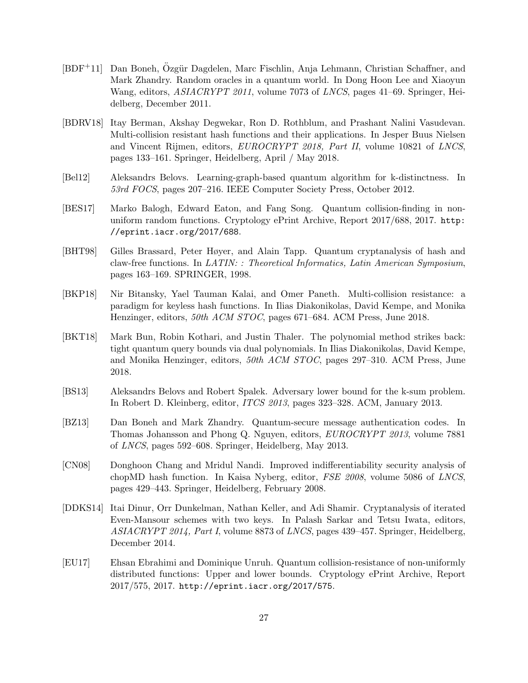- [BDF<sup>+</sup>11] Dan Boneh, Özgür Dagdelen, Marc Fischlin, Anja Lehmann, Christian Schaffner, and Mark Zhandry. Random oracles in a quantum world. In Dong Hoon Lee and Xiaoyun Wang, editors, *ASIACRYPT 2011*, volume 7073 of *LNCS*, pages 41–69. Springer, Heidelberg, December 2011.
- [BDRV18] Itay Berman, Akshay Degwekar, Ron D. Rothblum, and Prashant Nalini Vasudevan. Multi-collision resistant hash functions and their applications. In Jesper Buus Nielsen and Vincent Rijmen, editors, EUROCRYPT 2018, Part II, volume 10821 of LNCS, pages 133–161. Springer, Heidelberg, April / May 2018.
- [Bel12] Aleksandrs Belovs. Learning-graph-based quantum algorithm for k-distinctness. In 53rd FOCS, pages 207–216. IEEE Computer Society Press, October 2012.
- [BES17] Marko Balogh, Edward Eaton, and Fang Song. Quantum collision-finding in nonuniform random functions. Cryptology ePrint Archive, Report 2017/688, 2017. http: //eprint.iacr.org/2017/688.
- [BHT98] Gilles Brassard, Peter Høyer, and Alain Tapp. Quantum cryptanalysis of hash and claw-free functions. In LATIN: : Theoretical Informatics, Latin American Symposium, pages 163–169. SPRINGER, 1998.
- [BKP18] Nir Bitansky, Yael Tauman Kalai, and Omer Paneth. Multi-collision resistance: a paradigm for keyless hash functions. In Ilias Diakonikolas, David Kempe, and Monika Henzinger, editors, 50th ACM STOC, pages 671–684. ACM Press, June 2018.
- [BKT18] Mark Bun, Robin Kothari, and Justin Thaler. The polynomial method strikes back: tight quantum query bounds via dual polynomials. In Ilias Diakonikolas, David Kempe, and Monika Henzinger, editors, 50th ACM STOC, pages 297–310. ACM Press, June 2018.
- [BS13] Aleksandrs Belovs and Robert Spalek. Adversary lower bound for the k-sum problem. In Robert D. Kleinberg, editor, ITCS 2013, pages 323–328. ACM, January 2013.
- [BZ13] Dan Boneh and Mark Zhandry. Quantum-secure message authentication codes. In Thomas Johansson and Phong Q. Nguyen, editors, EUROCRYPT 2013, volume 7881 of LNCS, pages 592–608. Springer, Heidelberg, May 2013.
- [CN08] Donghoon Chang and Mridul Nandi. Improved indifferentiability security analysis of chopMD hash function. In Kaisa Nyberg, editor, FSE 2008, volume 5086 of LNCS, pages 429–443. Springer, Heidelberg, February 2008.
- [DDKS14] Itai Dinur, Orr Dunkelman, Nathan Keller, and Adi Shamir. Cryptanalysis of iterated Even-Mansour schemes with two keys. In Palash Sarkar and Tetsu Iwata, editors, ASIACRYPT 2014, Part I, volume 8873 of LNCS, pages 439–457. Springer, Heidelberg, December 2014.
- [EU17] Ehsan Ebrahimi and Dominique Unruh. Quantum collision-resistance of non-uniformly distributed functions: Upper and lower bounds. Cryptology ePrint Archive, Report 2017/575, 2017. http://eprint.iacr.org/2017/575.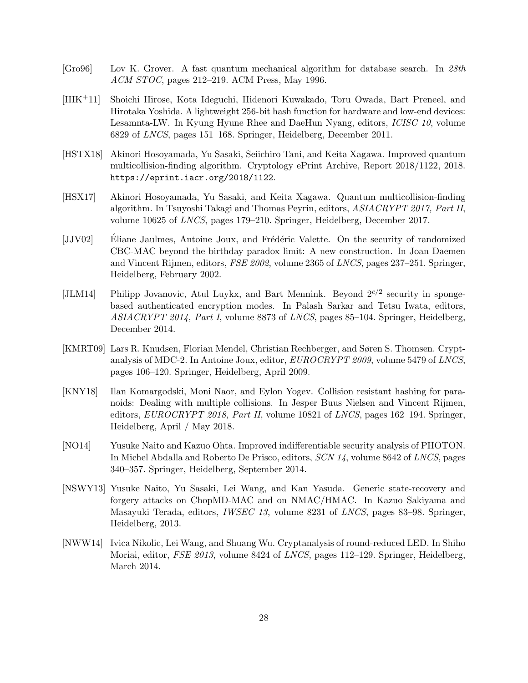- [Gro96] Lov K. Grover. A fast quantum mechanical algorithm for database search. In 28th ACM STOC, pages 212–219. ACM Press, May 1996.
- [HIK+11] Shoichi Hirose, Kota Ideguchi, Hidenori Kuwakado, Toru Owada, Bart Preneel, and Hirotaka Yoshida. A lightweight 256-bit hash function for hardware and low-end devices: Lesamnta-LW. In Kyung Hyune Rhee and DaeHun Nyang, editors, ICISC 10, volume 6829 of LNCS, pages 151–168. Springer, Heidelberg, December 2011.
- [HSTX18] Akinori Hosoyamada, Yu Sasaki, Seiichiro Tani, and Keita Xagawa. Improved quantum multicollision-finding algorithm. Cryptology ePrint Archive, Report 2018/1122, 2018. https://eprint.iacr.org/2018/1122.
- [HSX17] Akinori Hosoyamada, Yu Sasaki, and Keita Xagawa. Quantum multicollision-finding algorithm. In Tsuyoshi Takagi and Thomas Peyrin, editors, ASIACRYPT 2017, Part II, volume 10625 of LNCS, pages 179–210. Springer, Heidelberg, December 2017.
- [JJV02] Eliane Jaulmes, Antoine Joux, and Frédéric Valette. On the security of randomized CBC-MAC beyond the birthday paradox limit: A new construction. In Joan Daemen and Vincent Rijmen, editors, FSE 2002, volume 2365 of LNCS, pages 237–251. Springer, Heidelberg, February 2002.
- [JLM14] Philipp Jovanovic, Atul Luykx, and Bart Mennink. Beyond  $2^{c/2}$  security in spongebased authenticated encryption modes. In Palash Sarkar and Tetsu Iwata, editors, ASIACRYPT 2014, Part I, volume 8873 of LNCS, pages 85–104. Springer, Heidelberg, December 2014.
- [KMRT09] Lars R. Knudsen, Florian Mendel, Christian Rechberger, and Søren S. Thomsen. Cryptanalysis of MDC-2. In Antoine Joux, editor, EUROCRYPT 2009, volume 5479 of LNCS, pages 106–120. Springer, Heidelberg, April 2009.
- [KNY18] Ilan Komargodski, Moni Naor, and Eylon Yogev. Collision resistant hashing for paranoids: Dealing with multiple collisions. In Jesper Buus Nielsen and Vincent Rijmen, editors, EUROCRYPT 2018, Part II, volume 10821 of LNCS, pages 162–194. Springer, Heidelberg, April / May 2018.
- [NO14] Yusuke Naito and Kazuo Ohta. Improved indifferentiable security analysis of PHOTON. In Michel Abdalla and Roberto De Prisco, editors, SCN 14, volume 8642 of LNCS, pages 340–357. Springer, Heidelberg, September 2014.
- [NSWY13] Yusuke Naito, Yu Sasaki, Lei Wang, and Kan Yasuda. Generic state-recovery and forgery attacks on ChopMD-MAC and on NMAC/HMAC. In Kazuo Sakiyama and Masayuki Terada, editors, IWSEC 13, volume 8231 of LNCS, pages 83–98. Springer, Heidelberg, 2013.
- [NWW14] Ivica Nikolic, Lei Wang, and Shuang Wu. Cryptanalysis of round-reduced LED. In Shiho Moriai, editor, FSE 2013, volume 8424 of LNCS, pages 112–129. Springer, Heidelberg, March 2014.